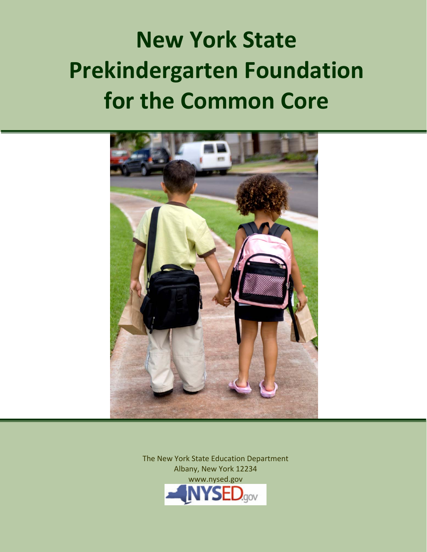# **Prekindergarten Foundation for the Common Core New York State**



The New York State Education Department Albany, New York 12234 www.nysed.gov **YSED.gov**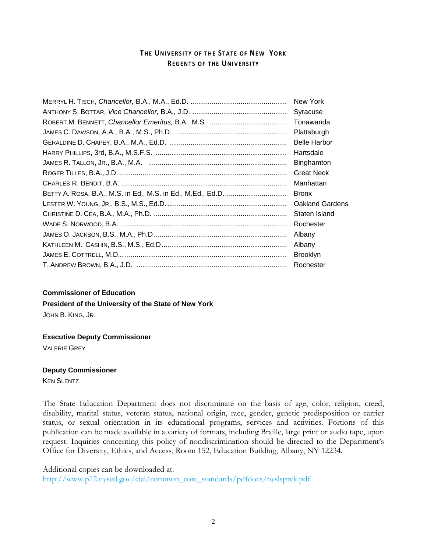## **TH E UNIVERSITY O F THE STATE O F NEW YORK REGENTS OF THE UNIVERSITY**

| Syracuse               |
|------------------------|
| Tonawanda              |
| Plattsburgh            |
| <b>Belle Harbor</b>    |
| Hartsdale              |
| Binghamton             |
| <b>Great Neck</b>      |
| Manhattan              |
| <b>Bronx</b>           |
| <b>Oakland Gardens</b> |
| Staten Island          |
| Rochester              |
| Albany                 |
| Albany                 |
| <b>Brooklyn</b>        |
| Rochester              |

#### **Commissioner of Education**

**President of the University of the State of New York**

JOHN B. KING, JR.

#### **Executive Deputy Commissioner**

VALERIE GREY

#### **Deputy Commissioner**

KEN SLENTZ

The State Education Department does not discriminate on the basis of age, color, religion, creed, disability, marital status, veteran status, national origin, race, gender, genetic predisposition or carrier status, or sexual orientation in its educational programs, services and activities. Portions of this publication can be made available in a variety of formats, including Braille, large print or audio tape, upon request. Inquiries concerning this policy of nondiscrimination should be directed to the Department's Office for Diversity, Ethics, and Access, Room 152, Education Building, Albany, NY 12234.

Additional copies can be downloaded at: [http://www.p12.nysed.gov/ciai/common\\_core\\_standards/pdfdocs/nyslsprek.pdf](http://www.p12.nysed.gov/ciai/common_core_standards/pdfdocs/nyslsprek.pdf)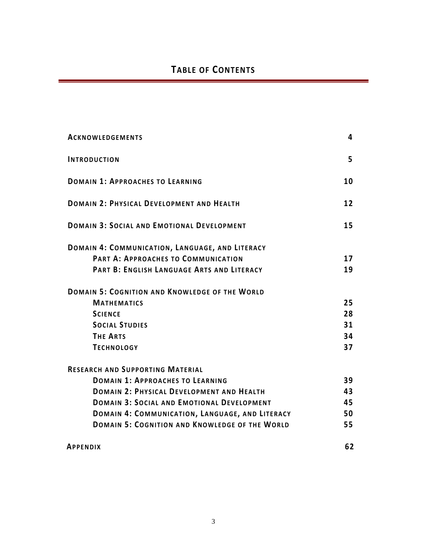| <b>ACKNOWLEDGEMENTS</b>                               | 4  |
|-------------------------------------------------------|----|
| <b>INTRODUCTION</b>                                   | 5  |
| <b>DOMAIN 1: APPROACHES TO LEARNING</b>               | 10 |
| DOMAIN 2: PHYSICAL DEVELOPMENT AND HEALTH             | 12 |
| <b>DOMAIN 3: SOCIAL AND EMOTIONAL DEVELOPMENT</b>     | 15 |
| DOMAIN 4: COMMUNICATION, LANGUAGE, AND LITERACY       |    |
| PART A: APPROACHES TO COMMUNICATION                   | 17 |
| PART B: ENGLISH LANGUAGE ARTS AND LITERACY            | 19 |
| <b>DOMAIN 5: COGNITION AND KNOWLEDGE OF THE WORLD</b> |    |
| <b>MATHEMATICS</b>                                    | 25 |
| <b>SCIENCE</b>                                        | 28 |
| <b>SOCIAL STUDIES</b>                                 | 31 |
| <b>THE ARTS</b>                                       | 34 |
| <b>TECHNOLOGY</b>                                     | 37 |
| <b>RESEARCH AND SUPPORTING MATERIAL</b>               |    |
| <b>DOMAIN 1: APPROACHES TO LEARNING</b>               | 39 |
| <b>DOMAIN 2: PHYSICAL DEVELOPMENT AND HEALTH</b>      | 43 |
| <b>DOMAIN 3: SOCIAL AND EMOTIONAL DEVELOPMENT</b>     | 45 |
| DOMAIN 4: COMMUNICATION, LANGUAGE, AND LITERACY       | 50 |
| <b>DOMAIN 5: COGNITION AND KNOWLEDGE OF THE WORLD</b> | 55 |
| <b>APPENDIX</b>                                       | 62 |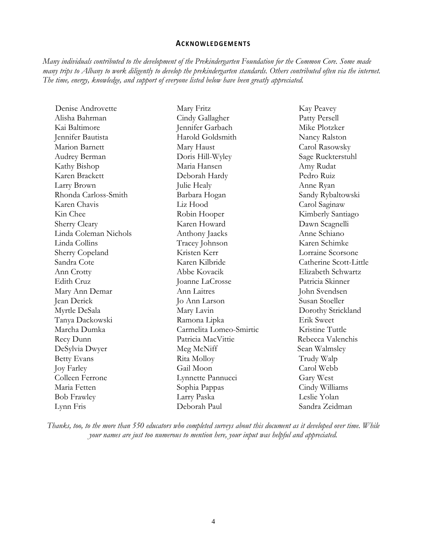## **ACKNOWLEDGEMENTS**

*Many individuals contributed to the development of the Prekindergarten Foundation for the Common Core. Some made many trips to Albany to work diligently to develop the prekindergarten standards. Others contributed often via the internet. The time, energy, knowledge, and support of everyone listed below have been greatly appreciated.* 

| Denise Androvette     | Mary Fritz              | Kay Peavey             |
|-----------------------|-------------------------|------------------------|
| Alisha Bahrman        | Cindy Gallagher         | Patty Persell          |
| Kai Baltimore         | Jennifer Garbach        | Mike Plotzker          |
| Jennifer Bautista     | Harold Goldsmith        | Nancy Ralston          |
| Marion Barnett        | Mary Haust              | Carol Rasowsky         |
| Audrey Berman         | Doris Hill-Wyley        | Sage Ruckterstuhl      |
| Kathy Bishop          | Maria Hansen            | Amy Rudat              |
| Karen Brackett        | Deborah Hardy           | Pedro Ruiz             |
| Larry Brown           | Julie Healy             | Anne Ryan              |
| Rhonda Carloss-Smith  | Barbara Hogan           | Sandy Rybaltowski      |
| Karen Chavis          | Liz Hood                | Carol Saginaw          |
| Kin Chee              | Robin Hooper            | Kimberly Santiago      |
| Sherry Cleary         | Karen Howard            | Dawn Scagnelli         |
| Linda Coleman Nichols | Anthony Jaacks          | Anne Schiano           |
| Linda Collins         | Tracey Johnson          | Karen Schimke          |
| Sherry Copeland       | Kristen Kerr            | Lorraine Scorsone      |
| Sandra Cote           | Karen Kilbride          | Catherine Scott-Little |
| Ann Crotty            | Abbe Kovacik            | Elizabeth Schwartz     |
| Edith Cruz            | Joanne LaCrosse         | Patricia Skinner       |
| Mary Ann Demar        | Ann Laitres             | John Svendsen          |
| Jean Derick           | Jo Ann Larson           | Susan Stoeller         |
| Myrtle DeSala         | Mary Lavin              | Dorothy Strickland     |
| Tanya Dackowski       | Ramona Lipka            | Erik Sweet             |
| Marcha Dumka          | Carmelita Lomeo-Smirtic | Kristine Tuttle        |
| Recy Dunn             | Patricia MacVittie      | Rebecca Valenchis      |
| DeSylvia Dwyer        | Meg McNiff              | Sean Walmsley          |
| <b>Betty Evans</b>    | Rita Molloy             | Trudy Walp             |
| Joy Farley            | Gail Moon               | Carol Webb             |
| Colleen Ferrone       | Lynnette Pannucci       | Gary West              |
| Maria Fetten          | Sophia Pappas           | Cindy Williams         |
| <b>Bob Frawley</b>    | Larry Paska             | Leslie Yolan           |
| Lynn Fris             | Deborah Paul            | Sandra Zeidman         |

*Thanks, too, to the more than 550 educators who completed surveys about this document as it developed over time. While your names are just too numerous to mention here, your input was helpful and appreciated.*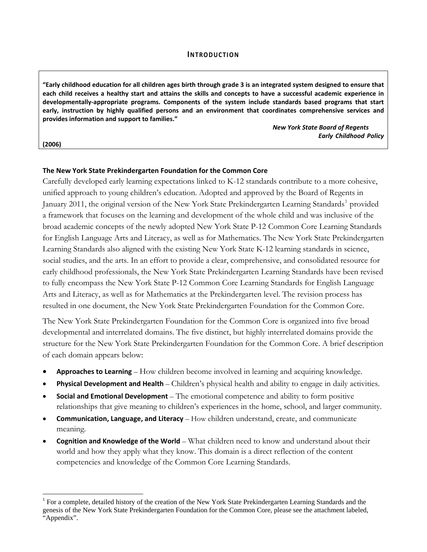#### **INTRODUCTION**

"Early childhood education for all children ages birth through grade 3 is an integrated system designed to ensure that each child receives a healthy start and attains the skills and concepts to have a successful academic experience in **developmentally‐appropriate programs. Components of the system include standards based programs that start early, instruction by highly qualified persons and an environment that coordinates comprehensive services and provides information and support to families."**

**(2006)**

 $\overline{a}$ 

*New York State Board of Regents*  **Early Childhood Policy** 

#### **The New York State Prekindergarten Foundation for the Common Core**

Carefully developed early learning expectations linked to K-12 standards contribute to a more cohesive, unified approach to young children's education. Adopted and approved by the Board of Regents in January 20[1](#page-4-0)1, the original version of the New York State Prekindergarten Learning Standards<sup>1</sup> provided a framework that focuses on the learning and development of the whole child and was inclusive of the broad academic concepts of the newly adopted New York State P-12 Common Core Learning Standards for English Language Arts and Literacy, as well as for Mathematics. The New York State Prekindergarten Learning Standards also aligned with the existing New York State K-12 learning standards in science, social studies, and the arts. In an effort to provide a clear, comprehensive, and consolidated resource for early childhood professionals, the New York State Prekindergarten Learning Standards have been revised to fully encompass the New York State P-12 Common Core Learning Standards for English Language Arts and Literacy, as well as for Mathematics at the Prekindergarten level. The revision process has resulted in one document, the New York State Prekindergarten Foundation for the Common Core.

The New York State Prekindergarten Foundation for the Common Core is organized into five broad developmental and interrelated domains. The five distinct, but highly interrelated domains provide the structure for the New York State Prekindergarten Foundation for the Common Core. A brief description of each domain appears below:

- **Approaches to Learning** How children become involved in learning and acquiring knowledge.
- **Physical Development and Health** Children's physical health and ability to engage in daily activities.
- **Social and Emotional Development** The emotional competence and ability to form positive relationships that give meaning to children's experiences in the home, school, and larger community.
- **Communication, Language, and Literacy** How children understand, create, and communicate meaning.
- **Cognition and Knowledge of the World** What children need to know and understand about their world and how they apply what they know. This domain is a direct reflection of the content competencies and knowledge of the Common Core Learning Standards.

<span id="page-4-0"></span><sup>&</sup>lt;sup>1</sup> For a complete, detailed history of the creation of the New York State Prekindergarten Learning Standards and the genesis of the New York State Prekindergarten Foundation for the Common Core, please see the attachment labeled, "Appendix".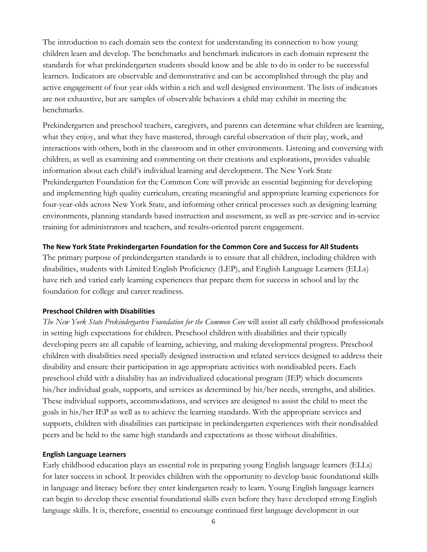The introduction to each domain sets the context for understanding its connection to how young children learn and develop. The benchmarks and benchmark indicators in each domain represent the standards for what prekindergarten students should know and be able to do in order to be successful learners. Indicators are observable and demonstrative and can be accomplished through the play and active engagement of four year olds within a rich and well designed environment. The lists of indicators are not exhaustive, but are samples of observable behaviors a child may exhibit in meeting the benchmarks.

Prekindergarten and preschool teachers, caregivers, and parents can determine what children are learning, what they enjoy, and what they have mastered, through careful observation of their play, work, and interactions with others, both in the classroom and in other environments. Listening and conversing with children, as well as examining and commenting on their creations and explorations, provides valuable information about each child's individual learning and development. The New York State Prekindergarten Foundation for the Common Core will provide an essential beginning for developing and implementing high quality curriculum, creating meaningful and appropriate learning experiences for four-year-olds across New York State, and informing other critical processes such as designing learning environments, planning standards based instruction and assessment, as well as pre-service and in-service training for administrators and teachers, and results-oriented parent engagement.

## **The New York State Prekindergarten Foundation for the Common Core and Success for All Students**

The primary purpose of prekindergarten standards is to ensure that all children, including children with disabilities, students with Limited English Proficiency (LEP), and English Language Learners (ELLs) have rich and varied early learning experiences that prepare them for success in school and lay the foundation for college and career readiness.

#### **Preschool Children with Disabilities**

*The New York State Prekindergarten Foundation for the Common Core* will assist all early childhood professionals in setting high expectations for children. Preschool children with disabilities and their typically developing peers are all capable of learning, achieving, and making developmental progress. Preschool children with disabilities need specially designed instruction and related services designed to address their disability and ensure their participation in age appropriate activities with nondisabled peers. Each preschool child with a disability has an individualized educational program (IEP) which documents his/her individual goals, supports, and services as determined by his/her needs, strengths, and abilities. These individual supports, accommodations, and services are designed to assist the child to meet the goals in his/her IEP as well as to achieve the learning standards. With the appropriate services and supports, children with disabilities can participate in prekindergarten experiences with their nondisabled peers and be held to the same high standards and expectations as those without disabilities.

#### **English Language Learners**

Early childhood education plays an essential role in preparing young English language learners (ELLs) for later success in school. It provides children with the opportunity to develop basic foundational skills in language and literacy before they enter kindergarten ready to learn. Young English language learners can begin to develop these essential foundational skills even before they have developed strong English language skills. It is, therefore, essential to encourage continued first language development in our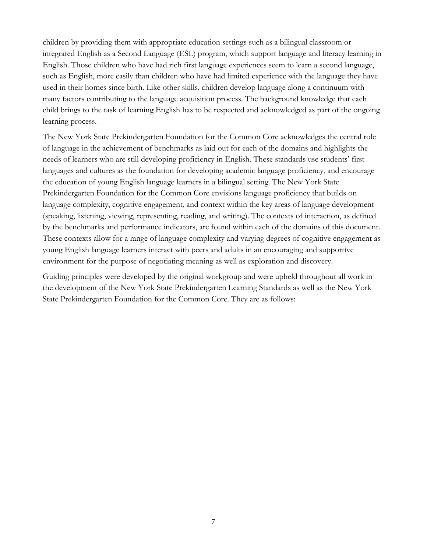children by providing them with appropriate education settings such as a bilingual classroom or integrated English as a Second Language (ESL) program, which support language and literacy learning in English. Those children who have had rich first language experiences seem to learn a second language, such as English, more easily than children who have had limited experience with the language they have used in their homes since birth. Like other skills, children develop language along a continuum with many factors contributing to the language acquisition process. The background knowledge that each child brings to the task of learning English has to be respected and acknowledged as part of the ongoing learning process.

The New York State Prekindergarten Foundation for the Common Core acknowledges the central role of language in the achievement of benchmarks as laid out for each of the domains and highlights the needs of learners who are still developing proficiency in English. These standards use students' first languages and cultures as the foundation for developing academic language proficiency, and encourage the education of young English language learners in a bilingual setting. The New York State Prekindergarten Foundation for the Common Core envisions language proficiency that builds on language complexity, cognitive engagement, and context within the key areas of language development (speaking, listening, viewing, representing, reading, and writing). The contexts of interaction, as defined by the benchmarks and performance indicators, are found within each of the domains of this document. These contexts allow for a range of language complexity and varying degrees of cognitive engagement as young English language learners interact with peers and adults in an encouraging and supportive environment for the purpose of negotiating meaning as well as exploration and discovery.

Guiding principles were developed by the original workgroup and were upheld throughout all work in the development of the New York State Prekindergarten Learning Standards as well as the New York State Prekindergarten Foundation for the Common Core. They are as follows: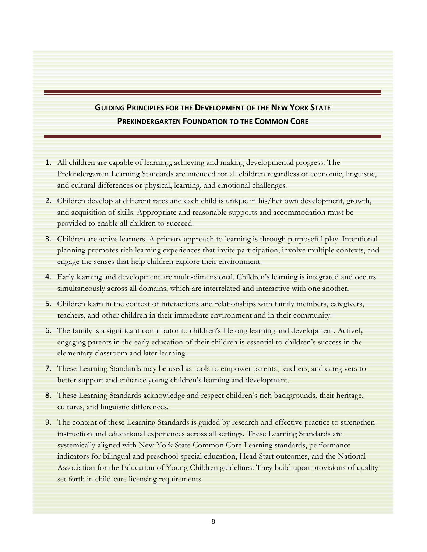# **GUIDING PRINCIPLES FOR THE DEVELOPMENT OF THE NEW YORK STATE PREKINDERGARTEN FOUNDATION TO THE COMMON CORE**

- 1. All children are capable of learning, achieving and making developmental progress. The Prekindergarten Learning Standards are intended for all children regardless of economic, linguistic, and cultural differences or physical, learning, and emotional challenges.
- 2. Children develop at different rates and each child is unique in his/her own development, growth, and acquisition of skills. Appropriate and reasonable supports and accommodation must be provided to enable all children to succeed.
- 3. Children are active learners. A primary approach to learning is through purposeful play. Intentional planning promotes rich learning experiences that invite participation, involve multiple contexts, and engage the senses that help children explore their environment.
- 4. Early learning and development are multi-dimensional. Children's learning is integrated and occurs simultaneously across all domains, which are interrelated and interactive with one another.
- 5. Children learn in the context of interactions and relationships with family members, caregivers, teachers, and other children in their immediate environment and in their community.
- 6. The family is a significant contributor to children's lifelong learning and development. Actively engaging parents in the early education of their children is essential to children's success in the elementary classroom and later learning.
- 7. These Learning Standards may be used as tools to empower parents, teachers, and caregivers to better support and enhance young children's learning and development.
- 8. These Learning Standards acknowledge and respect children's rich backgrounds, their heritage, cultures, and linguistic differences.
- 9. The content of these Learning Standards is guided by research and effective practice to strengthen instruction and educational experiences across all settings. These Learning Standards are systemically aligned with New York State Common Core Learning standards, performance indicators for bilingual and preschool special education, Head Start outcomes, and the National Association for the Education of Young Children guidelines. They build upon provisions of quality set forth in child-care licensing requirements.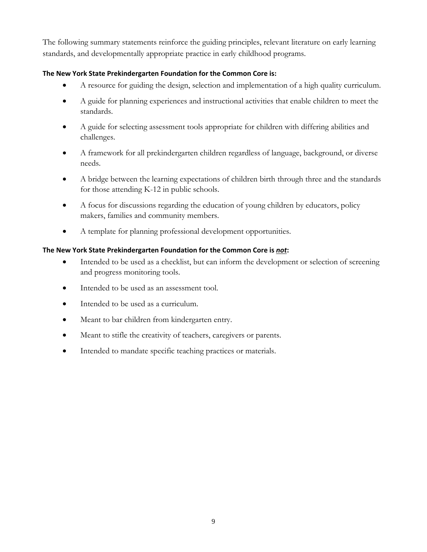The following summary statements reinforce the guiding principles, relevant literature on early learning standards, and developmentally appropriate practice in early childhood programs.

## **The New York State Prekindergarten Foundation for the Common Core is:**

- A resource for guiding the design, selection and implementation of a high quality curriculum.
- A guide for planning experiences and instructional activities that enable children to meet the standards.
- A guide for selecting assessment tools appropriate for children with differing abilities and challenges.
- A framework for all prekindergarten children regardless of language, background, or diverse needs.
- A bridge between the learning expectations of children birth through three and the standards for those attending K-12 in public schools.
- A focus for discussions regarding the education of young children by educators, policy makers, families and community members.
- A template for planning professional development opportunities.

## **The New York State Prekindergarten Foundation for the Common Core is** *not***:**

- Intended to be used as a checklist, but can inform the development or selection of screening and progress monitoring tools.
- Intended to be used as an assessment tool.
- Intended to be used as a curriculum.
- Meant to bar children from kindergarten entry.
- Meant to stifle the creativity of teachers, caregivers or parents.
- Intended to mandate specific teaching practices or materials.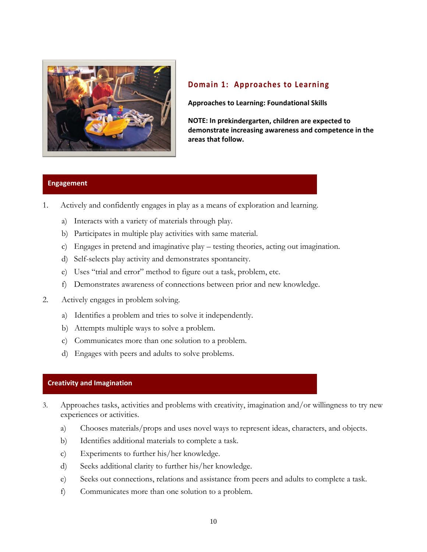

## **Domain 1: [Approaches](#page-38-0) to Learning**

**Approaches to Learning: Foundational Skills**

**NOTE: In prekindergarten, children are expected to demonstrate increasing awareness and competence in the areas that follow.**

## **Engagement**

- 1. Actively and confidently engages in play as a means of exploration and learning.
	- a) Interacts with a variety of materials through play.
	- b) Participates in multiple play activities with same material.
	- c) Engages in pretend and imaginative play testing theories, acting out imagination.
	- d) Self-selects play activity and demonstrates spontaneity.
	- e) Uses "trial and error" method to figure out a task, problem, etc.
	- f) Demonstrates awareness of connections between prior and new knowledge.
- 2.Actively engages in problem solving.
	- a) Identifies a problem and tries to solve it independently.
	- b) Attempts multiple ways to solve a problem.
	- c) Communicates more than one solution to a problem.
	- d) Engages with peers and adults to solve problems.

#### **Creativity and Imagination**

- 3. Approaches tasks, activities and problems with creativity, imagination and/or willingness to try new experiences or activities.
	- a) Chooses materials/props and uses novel ways to represent ideas, characters, and objects.
	- b) Identifies additional materials to complete a task.
	- c) Experiments to further his/her knowledge.
	- d) Seeks additional clarity to further his/her knowledge.
	- e) Seeks out connections, relations and assistance from peers and adults to complete a task.
	- f) Communicates more than one solution to a problem.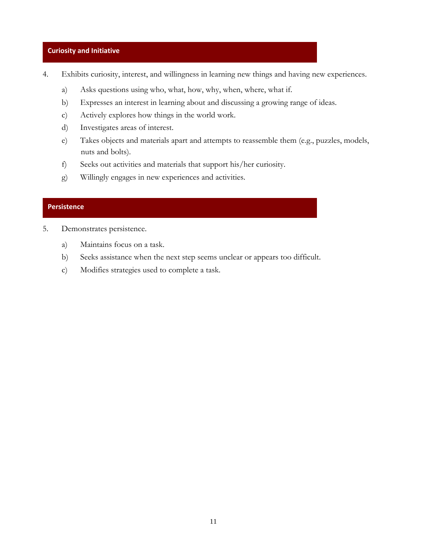#### **Curiosity and Initiative**

- 4. Exhibits curiosity, interest, and willingness in learning new things and having new experiences.
	- a) Asks questions using who, what, how, why, when, where, what if.
	- b) Expresses an interest in learning about and discussing a growing range of ideas.
	- c) Actively explores how things in the world work.
	- d) Investigates areas of interest.
	- e) Takes objects and materials apart and attempts to reassemble them (e.g., puzzles, models, nuts and bolts).
	- f) Seeks out activities and materials that support his/her curiosity.
	- g) Willingly engages in new experiences and activities.

## **Persistence**

- 5. Demonstrates persistence.
	- a) Maintains focus on a task.
	- b) Seeks assistance when the next step seems unclear or appears too difficult.
	- c) Modifies strategies used to complete a task.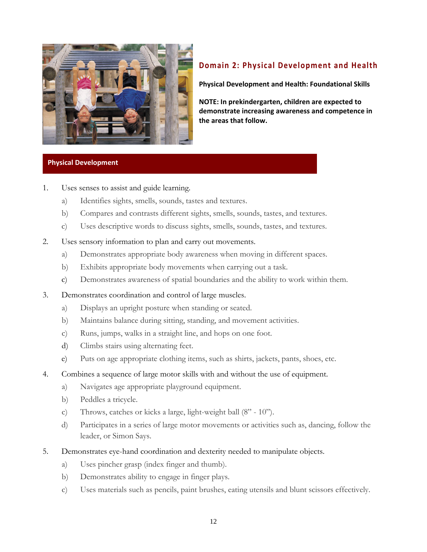

# **Domain 2: Physical [Development](#page-42-0) and Health**

**Physical Development and Health: Foundational Skills**

**w. the areas that follo NOTE: In prekindergarten, children are expected to demonstrate increasing awareness and competence in**

## **Physical Development**

- 1. Uses senses to assist and guide learning.
	- a) Identifies sights, smells, sounds, tastes and textures.
	- b) Compares and contrasts different sights, smells, sounds, tastes, and textures.
	- c) Uses descriptive words to discuss sights, smells, sounds, tastes, and textures.
- 2. Uses sensory information to plan and carry out movements.
	- a) Demonstrates appropriate body awareness when moving in different spaces.
	- b) Exhibits appropriate body movements when carrying out a task.
	- c) Demonstrates awareness of spatial boundaries and the ability to work within them.
- 3. Demonstrates coordination and control of large muscles.
	- a) Displays an upright posture when standing or seated.
	- b) Maintains balance during sitting, standing, and movement activities.
	- c) Runs, jumps, walks in a straight line, and hops on one foot.
	- d) Climbs stairs using alternating feet.
	- e) Puts on age appropriate clothing items, such as shirts, jackets, pants, shoes, etc.
- 4. Combines a sequence of large motor skills with and without the use of equipment.
	- a) Navigates age appropriate playground equipment.
	- b) Peddles a tricycle.
	- c) Throws, catches or kicks a large, light-weight ball (8" 10").
	- d) Participates in a series of large motor movements or activities such as, dancing, follow the leader, or Simon Says.
- 5. Demonstrates eye-hand coordination and dexterity needed to manipulate objects.
	- a) Uses pincher grasp (index finger and thumb).
	- b) Demonstrates ability to engage in finger plays.
	- c) Uses materials such as pencils, paint brushes, eating utensils and blunt scissors effectively.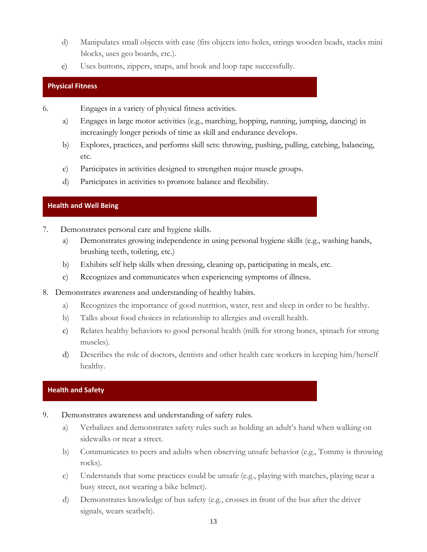- d) Manipulates small objects with ease (fits objects into holes, strings wooden beads, stacks mini blocks, uses geo boards, etc.).
- e) Uses buttons, zippers, snaps, and hook and loop tape successfully.

## **Physical Fitness**

6. Engages in a variety of physical fitness activities.

- a) Engages in large motor activities (e.g., marching, hopping, running, jumping, dancing) in increasingly longer periods of time as skill and endurance develops.
- b) Explores, practices, and performs skill sets: throwing, pushing, pulling, catching, balancing, etc.
- c) Participates in activities designed to strengthen major muscle groups.
- d) Participates in activities to promote balance and flexibility.

## **Health and Well Being**

- 7. Demonstrates personal care and hygiene skills.
	- a) Demonstrates growing independence in using personal hygiene skills (e.g., washing hands, brushing teeth, toileting, etc.)
	- b) Exhibits self help skills when dressing, cleaning up, participating in meals, etc.
	- c) Recognizes and communicates when experiencing symptoms of illness.
- 8. Demonstrates awareness and understanding of healthy habits.
	- a) Recognizes the importance of good nutrition, water, rest and sleep in order to be healthy.
	- b) Talks about food choices in relationship to allergies and overall health.
	- c) Relates healthy behaviors to good personal health (milk for strong bones, spinach for strong muscles).
	- d) Describes the role of doctors, dentists and other health care workers in keeping him/herself healthy.

## **Health and Safety**

- 9. Demonstrates awareness and understanding of safety rules.
	- a) Verbalizes and demonstrates safety rules such as holding an adult's hand when walking on sidewalks or near a street.
	- b) Communicates to peers and adults when observing unsafe behavior (e.g., Tommy is throwing rocks).
	- c) Understands that some practices could be unsafe (e.g., playing with matches, playing near a busy street, not wearing a bike helmet).
	- d) Demonstrates knowledge of bus safety (e.g., crosses in front of the bus after the driver signals, wears seatbelt).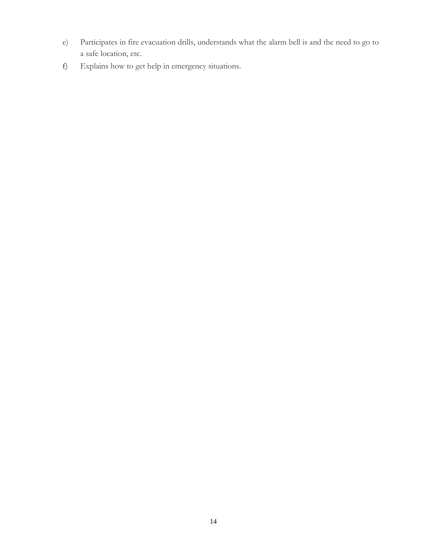- e) Participates in fire evacuation drills, understands what the alarm bell is and the need to go to a safe location, etc.
- f) Explains how to get help in emergency situations.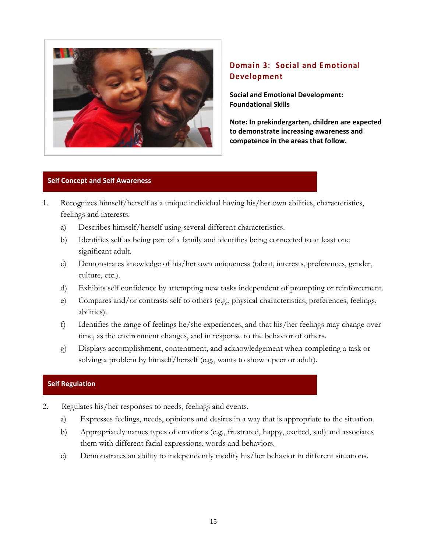

# **Domain 3: Social and [Emotional](#page-44-0) [Development](#page-44-0)**

**Social and Emotional Development: Foundational Skills**

**Note: In prekindergarten, children are expected to demonstrate increasing awareness and competence in the areas that follow.**

## **Self Concept and Self Awareness**

- 1. Recognizes himself/herself as a unique individual having his/her own abilities, characteristics, feelings and interests.
	- a) Describes himself/herself using several different characteristics.
	- b) Identifies self as being part of a family and identifies being connected to at least one significant adult.
	- c) Demonstrates knowledge of his/her own uniqueness (talent, interests, preferences, gender, culture, etc.).
	- d) Exhibits self confidence by attempting new tasks independent of prompting or reinforcement.
	- e) Compares and/or contrasts self to others (e.g., physical characteristics, preferences, feelings, abilities).
	- f) Identifies the range of feelings he/she experiences, and that his/her feelings may change over time, as the environment changes, and in response to the behavior of others.
	- g) Displays accomplishment, contentment, and acknowledgement when completing a task or solving a problem by himself/herself (e.g., wants to show a peer or adult).

## **Self Regulation**

- 2. Regulates his/her responses to needs, feelings and events.
	- a) Expresses feelings, needs, opinions and desires in a way that is appropriate to the situation.
	- b) Appropriately names types of emotions (e.g., frustrated, happy, excited, sad) and associates them with different facial expressions, words and behaviors.
	- c) Demonstrates an ability to independently modify his/her behavior in different situations.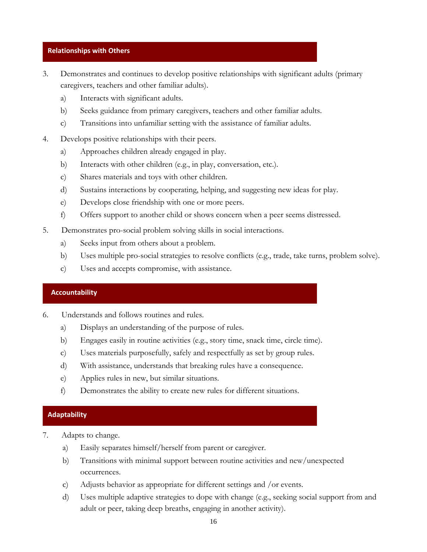#### **Relationships with Others**

- 3. Demonstrates and continues to develop positive relationships with significant adults (primary caregivers, teachers and other familiar adults).
	- a) Interacts with significant adults.
	- b) Seeks guidance from primary caregivers, teachers and other familiar adults.
	- c) Transitions into unfamiliar setting with the assistance of familiar adults.
- 4. Develops positive relationships with their peers.
	- a) Approaches children already engaged in play.
	- b) Interacts with other children (e.g., in play, conversation, etc.).
	- c) Shares materials and toys with other children.
	- d) Sustains interactions by cooperating, helping, and suggesting new ideas for play.
	- e) Develops close friendship with one or more peers.
	- f) Offers support to another child or shows concern when a peer seems distressed.
- 5. Demonstrates pro-social problem solving skills in social interactions.
	- a) Seeks input from others about a problem.
	- b) Uses multiple pro-social strategies to resolve conflicts (e.g., trade, take turns, problem solve).
	- c) Uses and accepts compromise, with assistance.

#### **Accountability**

- 6. Understands and follows routines and rules.
	- a) Displays an understanding of the purpose of rules.
	- b) Engages easily in routine activities (e.g., story time, snack time, circle time).
	- c) Uses materials purposefully, safely and respectfully as set by group rules.
	- d) With assistance, understands that breaking rules have a consequence.
	- e) Applies rules in new, but similar situations.
	- f) Demonstrates the ability to create new rules for different situations.

#### **Adaptability**

- 7. Adapts to change.
	- a) Easily separates himself/herself from parent or caregiver.
	- b) Transitions with minimal support between routine activities and new/unexpected occurrences.
	- c) Adjusts behavior as appropriate for different settings and /or events.
	- d) Uses multiple adaptive strategies to dope with change (e.g., seeking social support from and adult or peer, taking deep breaths, engaging in another activity).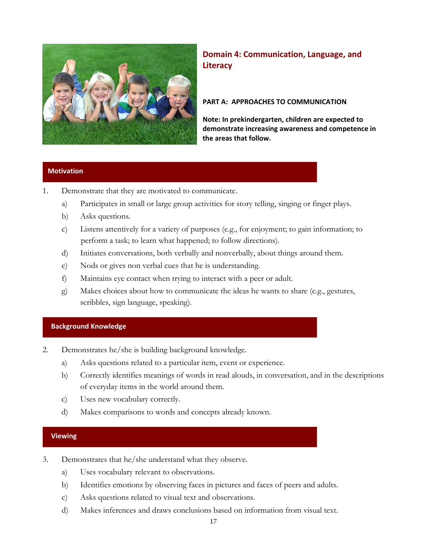

**Domain 4: [Communication,](#page-49-0) Language, and [Literacy](#page-49-0)**

## **PART A: APPROACHES TO COMMUNICATION**

**Note: In prekindergarten, children are expected to demonstrate increasing awareness and competence in the areas that follow.**

## **Motivation**

- 1. Demonstrate that they are motivated to communicate.
	- a) Participates in small or large group activities for story telling, singing or finger plays.
	- b) Asks questions.
	- c) Listens attentively for a variety of purposes (e.g., for enjoyment; to gain information; to perform a task; to learn what happened; to follow directions).
	- d) Initiates conversations, both verbally and nonverbally, about things around them.
	- e) Nods or gives non verbal cues that he is understanding.
	- f) Maintains eye contact when trying to interact with a peer or adult.
	- g) Makes choices about how to communicate the ideas he wants to share (e.g., gestures, scribbles, sign language, speaking).

#### **Background Knowledge**

- 2. Demonstrates he/she is building background knowledge.
	- a) Asks questions related to a particular item, event or experience.
	- b) Correctly identifies meanings of words in read alouds, in conversation, and in the descriptions of everyday items in the world around them.
	- c) Uses new vocabulary correctly.
	- d) Makes comparisons to words and concepts already known.

#### **Viewing**

- 3. Demonstrates that he/she understand what they observe.
	- a) Uses vocabulary relevant to observations.
	- b) Identifies emotions by observing faces in pictures and faces of peers and adults.
	- c) Asks questions related to visual text and observations.
	- d) Makes inferences and draws conclusions based on information from visual text.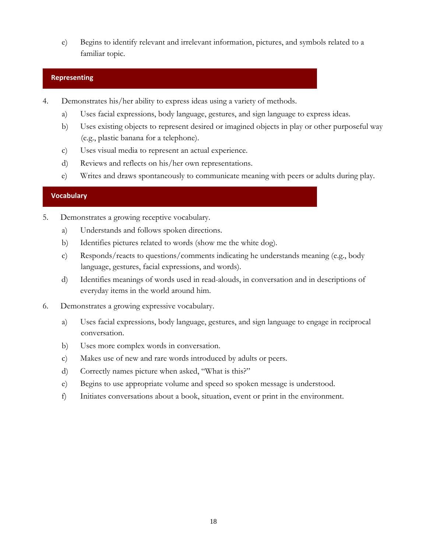e) Begins to identify relevant and irrelevant information, pictures, and symbols related to a familiar topic.

## **Representing**

- 4. Demonstrates his/her ability to express ideas using a variety of methods.
	- a) Uses facial expressions, body language, gestures, and sign language to express ideas.
	- b) Uses existing objects to represent desired or imagined objects in play or other purposeful way (e.g., plastic banana for a telephone).
	- c) Uses visual media to represent an actual experience.
	- d) Reviews and reflects on his/her own representations.
	- e) Writes and draws spontaneously to communicate meaning with peers or adults during play.

## **Vocabulary**

- 5. Demonstrates a growing receptive vocabulary.
	- a) Understands and follows spoken directions.
	- b) Identifies pictures related to words (show me the white dog).
	- c) Responds/reacts to questions/comments indicating he understands meaning (e.g., body language, gestures, facial expressions, and words).
	- d) Identifies meanings of words used in read-alouds, in conversation and in descriptions of everyday items in the world around him.
- 6. Demonstrates a growing expressive vocabulary.
	- a) Uses facial expressions, body language, gestures, and sign language to engage in reciprocal conversation.
	- b) Uses more complex words in conversation.
	- c) Makes use of new and rare words introduced by adults or peers.
	- d) Correctly names picture when asked, "What is this?"
	- e) Begins to use appropriate volume and speed so spoken message is understood.
	- f) Initiates conversations about a book, situation, event or print in the environment.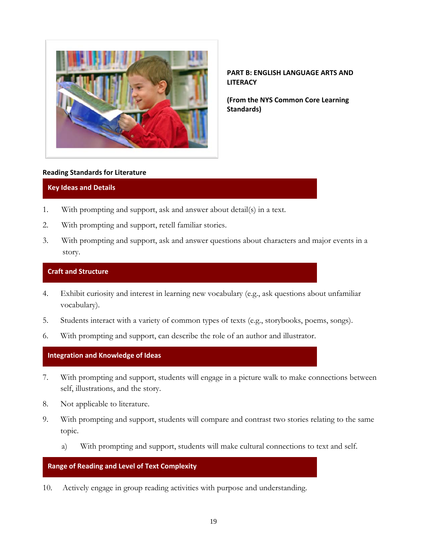

**PART B: ENGLISH LANGUAGE ARTS AND LITERACY** 

**(From the NYS Common Core Learning Standards)**

#### **Reading Standards for Literature**

## **Key Ideas and Details**

- 1. With prompting and support, ask and answer about detail(s) in a text.
- 2. With prompting and support, retell familiar stories.
- 3. With prompting and support, ask and answer questions about characters and major events in a story.

## **Craft and Structure**

- 4. Exhibit curiosity and interest in learning new vocabulary (e.g., ask questions about unfamiliar vocabulary).
- 5. Students interact with a variety of common types of texts (e.g., storybooks, poems, songs).
- 6. With prompting and support, can describe the role of an author and illustrator.

#### **Integration and Knowledge of Ideas**

- 7. With prompting and support, students will engage in a picture walk to make connections between self, illustrations, and the story.
- 8. Not applicable to literature.
- 9. With prompting and support, students will compare and contrast two stories relating to the same topic.
	- a) With prompting and support, students will make cultural connections to text and self.

#### **Range of Reading and Level of Text Complexity**

10. Actively engage in group reading activities with purpose and understanding.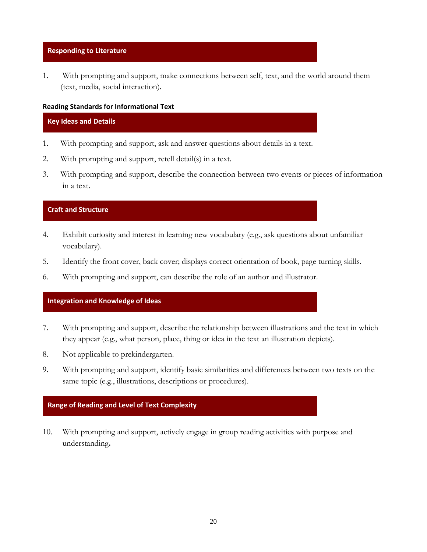#### **Responding to Literature**

1. With prompting and support, make connections between self, text, and the world around them (text, media, social interaction).

#### **Reading Standards for Informational Text**

#### **Key Ideas and Details**

- 1. With prompting and support, ask and answer questions about details in a text.
- 2. With prompting and support, retell detail(s) in a text.
- 3. With prompting and support, describe the connection between two events or pieces of information in a text.

#### **Craft and Structure**

- 4. Exhibit curiosity and interest in learning new vocabulary (e.g., ask questions about unfamiliar vocabulary).
- 5. Identify the front cover, back cover; displays correct orientation of book, page turning skills.
- 6. With prompting and support, can describe the role of an author and illustrator.

## **Integration and Knowledge of Ideas**

- 7. With prompting and support, describe the relationship between illustrations and the text in which they appear (e.g., what person, place, thing or idea in the text an illustration depicts).
- 8. Not applicable to prekindergarten.
- 9. With prompting and support, identify basic similarities and differences between two texts on the same topic (e.g., illustrations, descriptions or procedures).

#### **Range of Reading and Level of Text Complexity**

10. With prompting and support, actively engage in group reading activities with purpose and understanding**.**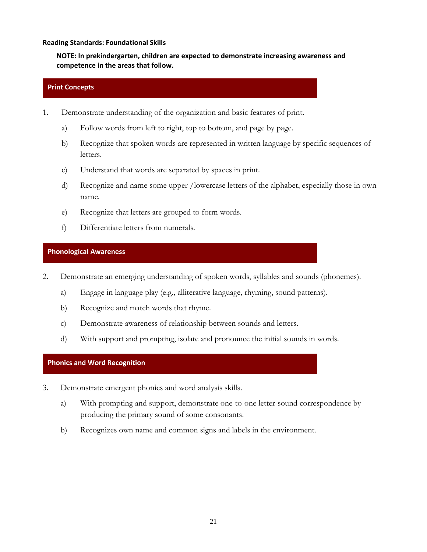#### **Reading Standards: Foundational Skills**

**NOTE: In prekindergarten, children are expected to demonstrate increasing awareness and competence in the areas that follow.**

#### **Print Concepts**

- 1. Demonstrate understanding of the organization and basic features of print.
	- a) Follow words from left to right, top to bottom, and page by page.
	- b) Recognize that spoken words are represented in written language by specific sequences of letters.
	- c) Understand that words are separated by spaces in print.
	- d) Recognize and name some upper /lowercase letters of the alphabet, especially those in own name.
	- e) Recognize that letters are grouped to form words.
	- f) Differentiate letters from numerals.

#### **Phonological Awareness**

- 2. Demonstrate an emerging understanding of spoken words, syllables and sounds (phonemes).
	- a) Engage in language play (e.g., alliterative language, rhyming, sound patterns).
	- b) Recognize and match words that rhyme.
	- c) Demonstrate awareness of relationship between sounds and letters.
	- d) With support and prompting, isolate and pronounce the initial sounds in words.

#### **Phonics and Word Recognition**

- 3. Demonstrate emergent phonics and word analysis skills.
	- a) With prompting and support, demonstrate one-to-one letter-sound correspondence by producing the primary sound of some consonants.
	- b) Recognizes own name and common signs and labels in the environment.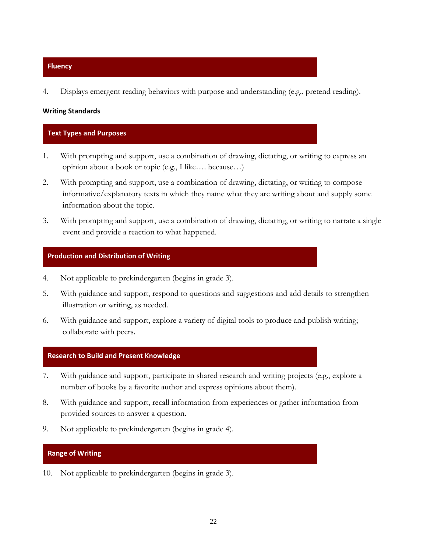#### **Fluency**

4. Displays emergent reading behaviors with purpose and understanding (e.g., pretend reading).

#### **Writing Standards**

## **Text Types and Purposes**

- 1. With prompting and support, use a combination of drawing, dictating, or writing to express an opinion about a book or topic (e.g., I like…. because…)
- 2. With prompting and support, use a combination of drawing, dictating, or writing to compose informative/explanatory texts in which they name what they are writing about and supply some information about the topic.
- 3. With prompting and support, use a combination of drawing, dictating, or writing to narrate a single event and provide a reaction to what happened.

#### **Production and Distribution of Writing**

- 4. Not applicable to prekindergarten (begins in grade 3).
- 5. With guidance and support, respond to questions and suggestions and add details to strengthen illustration or writing, as needed.
- 6. With guidance and support, explore a variety of digital tools to produce and publish writing; collaborate with peers.

#### **Research to Build and Present Knowledge**

- 7. With guidance and support, participate in shared research and writing projects (e.g., explore a number of books by a favorite author and express opinions about them).
- 8. With guidance and support, recall information from experiences or gather information from provided sources to answer a question.
- 9. Not applicable to prekindergarten (begins in grade 4).

## **Range of Writing**

10. Not applicable to prekindergarten (begins in grade 3).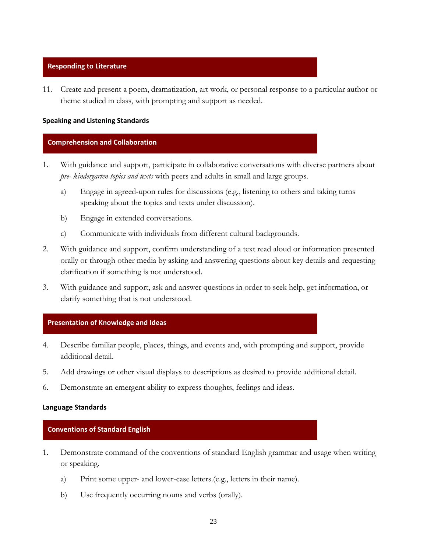#### **Responding to Literature**

11. Create and present a poem, dramatization, art work, or personal response to a particular author or theme studied in class, with prompting and support as needed.

#### **Speaking and Listening Standards**

#### **Comprehension and Collaboration**

- 1. With guidance and support, participate in collaborative conversations with diverse partners about *pre- kindergarten topics and texts* with peers and adults in small and large groups.
	- a) Engage in agreed-upon rules for discussions (e.g., listening to others and taking turns speaking about the topics and texts under discussion).
	- b) Engage in extended conversations.
	- c) Communicate with individuals from different cultural backgrounds.
- 2. With guidance and support, confirm understanding of a text read aloud or information presented orally or through other media by asking and answering questions about key details and requesting clarification if something is not understood.
- 3. With guidance and support, ask and answer questions in order to seek help, get information, or clarify something that is not understood.

#### **Presentation of Knowledge and Ideas**

- 4. Describe familiar people, places, things, and events and, with prompting and support, provide additional detail.
- 5. Add drawings or other visual displays to descriptions as desired to provide additional detail.
- 6. Demonstrate an emergent ability to express thoughts, feelings and ideas.

#### **Language Standards**

#### **Conventions of Standard English**

- 1. Demonstrate command of the conventions of standard English grammar and usage when writing or speaking.
	- a) Print some upper- and lower-case letters.(e.g., letters in their name).
	- b) Use frequently occurring nouns and verbs (orally).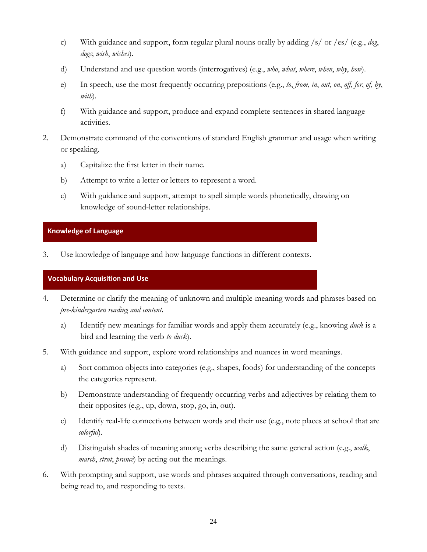- c) With guidance and support, form regular plural nouns orally by adding /s/ or /es/ (e.g., *dog*, *dogs*; *wish*, *wishes*).
- d) Understand and use question words (interrogatives) (e.g., *who*, *what*, *where*, *when*, *why*, *how*).
- e) In speech, use the most frequently occurring prepositions (e.g., *to*, *from*, *in*, *out*, *on*, *off*, *for*, *of*, *by*, *with*).
- f) With guidance and support, produce and expand complete sentences in shared language activities.
- 2. Demonstrate command of the conventions of standard English grammar and usage when writing or speaking.
	- a) Capitalize the first letter in their name.
	- b) Attempt to write a letter or letters to represent a word.
	- c) With guidance and support, attempt to spell simple words phonetically, drawing on knowledge of sound-letter relationships.

## **Knowledge of Language**

3. Use knowledge of language and how language functions in different contexts.

## **Vocabulary Acquisition and Use**

- 4. Determine or clarify the meaning of unknown and multiple-meaning words and phrases based on *pre-kindergarten reading and content*.
	- a) Identify new meanings for familiar words and apply them accurately (e.g., knowing *duck* is a bird and learning the verb *to duck*).
- 5. With guidance and support, explore word relationships and nuances in word meanings.
	- a) Sort common objects into categories (e.g., shapes, foods) for understanding of the concepts the categories represent.
	- b) Demonstrate understanding of frequently occurring verbs and adjectives by relating them to their opposites (e.g., up, down, stop, go, in, out).
	- c) Identify real-life connections between words and their use (e.g., note places at school that are *colorful*).
	- d) Distinguish shades of meaning among verbs describing the same general action (e.g., *walk*, *march*, *strut*, *prance*) by acting out the meanings.
- 6. With prompting and support, use words and phrases acquired through conversations, reading and being read to, and responding to texts.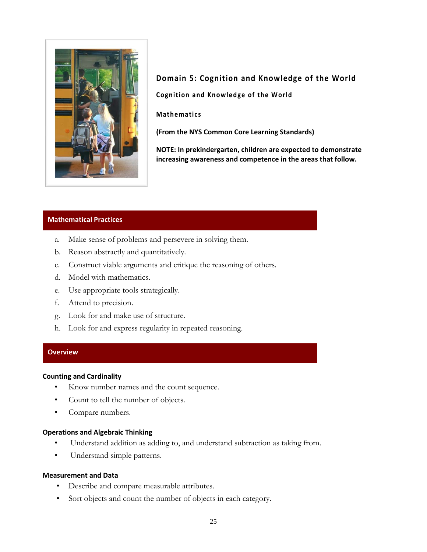

**Domain 5: Cognition and [Knowledge](#page-54-0) of the World Cognition and Knowledge of the World** 

**Mathematics**

**(From the NYS Common Core Learning Standards)** 

**NOTE: In prekindergarten, children are expected to demonstrate increasing awareness and competence in the areas that follow.**

#### **Mathematical Practices**

- a. Make sense of problems and persevere in solving them.
- b. Reason abstractly and quantitatively.
- c. Construct viable arguments and critique the reasoning of others.
- d. Model with mathematics.
- e. Use appropriate tools strategically.
- f. Attend to precision.
- g. Look for and make use of structure.
- h. Look for and express regularity in repeated reasoning.

#### **Overview**

#### **Counting and Cardinality**

- Know number names and the count sequence.
- Count to tell the number of objects.
- Compare numbers.

#### **Operations and Algebraic Thinking**

- Understand addition as adding to, and understand subtraction as taking from.
- Understand simple patterns.

#### **Measurement and Data**

- Describe and compare measurable attributes.
- Sort objects and count the number of objects in each category.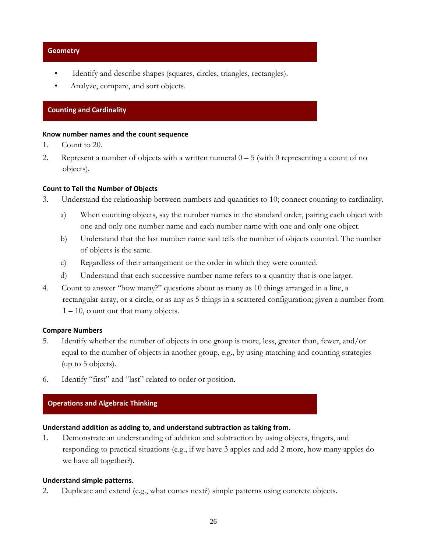#### **Geometry**

- Identify and describe shapes (squares, circles, triangles, rectangles).
- Analyze, compare, and sort objects.

## **Counting and Cardinality**

#### Know number names and the count sequence

- 1. Count to 20.
- 2. Represent a number of objects with a written numeral  $0 5$  (with 0 representing a count of no objects).

#### **Count to Tell the Number of Objects**

- 3. Understand the relationship between numbers and quantities to 10; connect counting to cardinality.
	- a) When counting objects, say the number names in the standard order, pairing each object with one and only one number name and each number name with one and only one object.
	- b) Understand that the last number name said tells the number of objects counted. The number of objects is the same.
	- c) Regardless of their arrangement or the order in which they were counted.
	- d) Understand that each successive number name refers to a quantity that is one larger.
- 4. Count to answer "how many?" questions about as many as 10 things arranged in a line, a rectangular array, or a circle, or as any as 5 things in a scattered configuration; given a number from  $1 - 10$ , count out that many objects.

#### **Compare Numbers**

- 5. Identify whether the number of objects in one group is more, less, greater than, fewer, and/or equal to the number of objects in another group, e.g., by using matching and counting strategies (up to 5 objects).
- 6. Identify "first" and "last" related to order or position.

## **Operations and Algebraic Thinking**

## **Understand addition as adding to, and understand subtraction as taking from.**

1. Demonstrate an understanding of addition and subtraction by using objects, fingers, and responding to practical situations (e.g., if we have 3 apples and add 2 more, how many apples do we have all together?).

#### **Understand simple patterns.**

2. Duplicate and extend (e.g., what comes next?) simple patterns using concrete objects.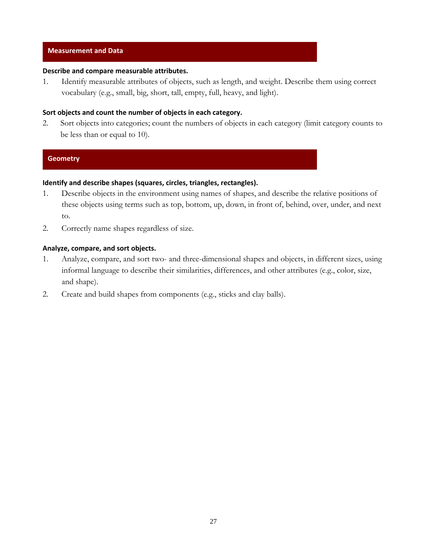#### **Measurement and Data**

## **Describe and compare measurable attributes.**

1. Identify measurable attributes of objects, such as length, and weight. Describe them using correct vocabulary (e.g., small, big, short, tall, empty, full, heavy, and light).

## **Sort objects and count the number of objects in each category.**

2. Sort objects into categories; count the numbers of objects in each category (limit category counts to be less than or equal to 10).

#### **Geometry**

### **Identify and describe shapes (squares, circles, triangles, rectangles).**

- 1. Describe objects in the environment using names of shapes, and describe the relative positions of these objects using terms such as top, bottom, up, down, in front of, behind, over, under, and next to.
- 2. Correctly name shapes regardless of size.

#### **Analyze, compare, and sort objects.**

- 1. Analyze, compare, and sort two- and three-dimensional shapes and objects, in different sizes, using informal language to describe their similarities, differences, and other attributes (e.g., color, size, and shape).
- 2. Create and build shapes from components (e.g., sticks and clay balls).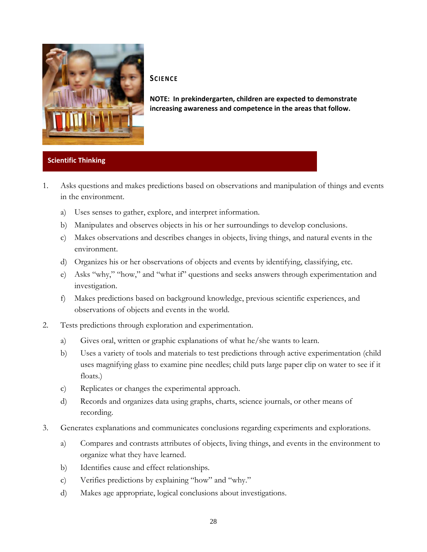

## **SCIENCE**

**NOTE: In prekindergarten, children are expected to demonstrate increasing awareness and competence in the areas that follow.**

## **Scientific Thinking**

- 1. Asks questions and makes predictions based on observations and manipulation of things and events in the environment.
	- a) Uses senses to gather, explore, and interpret information.
	- b) Manipulates and observes objects in his or her surroundings to develop conclusions.
	- c) Makes observations and describes changes in objects, living things, and natural events in the environment.
	- d) Organizes his or her observations of objects and events by identifying, classifying, etc.
	- e) Asks "why," "how," and "what if" questions and seeks answers through experimentation and investigation.
	- f) Makes predictions based on background knowledge, previous scientific experiences, and observations of objects and events in the world.
- 2. Tests predictions through exploration and experimentation.
	- a) Gives oral, written or graphic explanations of what he/she wants to learn.
	- b) Uses a variety of tools and materials to test predictions through active experimentation (child uses magnifying glass to examine pine needles; child puts large paper clip on water to see if it floats.)
	- c) Replicates or changes the experimental approach.
	- d) Records and organizes data using graphs, charts, science journals, or other means of recording.
- 3. Generates explanations and communicates conclusions regarding experiments and explorations.
	- a) Compares and contrasts attributes of objects, living things, and events in the environment to organize what they have learned.
	- b) Identifies cause and effect relationships.
	- c) Verifies predictions by explaining "how" and "why."
	- d) Makes age appropriate, logical conclusions about investigations.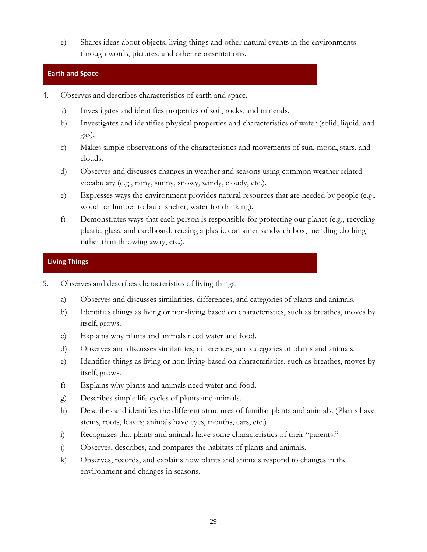e) Shares ideas about objects, living things and other natural events in the environments through words, pictures, and other representations.

## **Earth and Space**

- 4. Observes and describes characteristics of earth and space.
	- a) Investigates and identifies properties of soil, rocks, and minerals.
	- b) Investigates and identifies physical properties and characteristics of water (solid, liquid, and gas).
	- c) Makes simple observations of the characteristics and movements of sun, moon, stars, and clouds.
	- d) Observes and discusses changes in weather and seasons using common weather related vocabulary (e.g., rainy, sunny, snowy, windy, cloudy, etc.).
	- e) Expresses ways the environment provides natural resources that are needed by people (e.g., wood for lumber to build shelter, water for drinking).
	- f) Demonstrates ways that each person is responsible for protecting our planet (e.g., recycling plastic, glass, and cardboard, reusing a plastic container sandwich box, mending clothing rather than throwing away, etc.).

## **Living Things**

- 5. Observes and describes characteristics of living things.
	- a) Observes and discusses similarities, differences, and categories of plants and animals.
	- b) Identifies things as living or non-living based on characteristics, such as breathes, moves by itself, grows.
	- c) Explains why plants and animals need water and food.
	- d) Observes and discusses similarities, differences, and categories of plants and animals.
	- e) Identifies things as living or non-living based on characteristics, such as breathes, moves by itself, grows.
	- f) Explains why plants and animals need water and food.
	- g) Describes simple life cycles of plants and animals.
	- h) Describes and identifies the different structures of familiar plants and animals. (Plants have stems, roots, leaves; animals have eyes, mouths, ears, etc.)
	- i) Recognizes that plants and animals have some characteristics of their "parents."
	- j) Observes, describes, and compares the habitats of plants and animals.
	- k) Observes, records, and explains how plants and animals respond to changes in the environment and changes in seasons.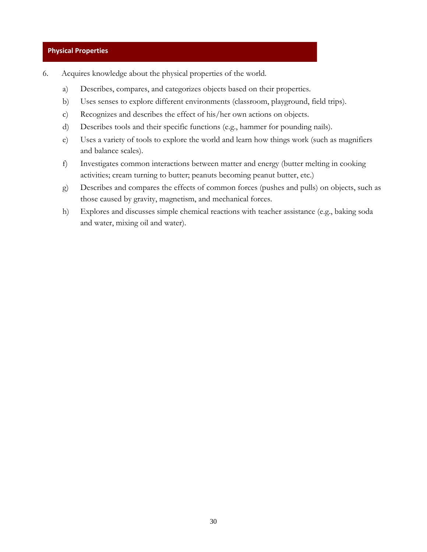#### **Physical Properties**

- 6. Acquires knowledge about the physical properties of the world.
	- a) Describes, compares, and categorizes objects based on their properties.
	- b) Uses senses to explore different environments (classroom, playground, field trips).
	- c) Recognizes and describes the effect of his/her own actions on objects.
	- d) Describes tools and their specific functions (e.g., hammer for pounding nails).
	- e) Uses a variety of tools to explore the world and learn how things work (such as magnifiers and balance scales).
	- f) Investigates common interactions between matter and energy (butter melting in cooking activities; cream turning to butter; peanuts becoming peanut butter, etc.)
	- g) Describes and compares the effects of common forces (pushes and pulls) on objects, such as those caused by gravity, magnetism, and mechanical forces.
	- h) Explores and discusses simple chemical reactions with teacher assistance (e.g., baking soda and water, mixing oil and water).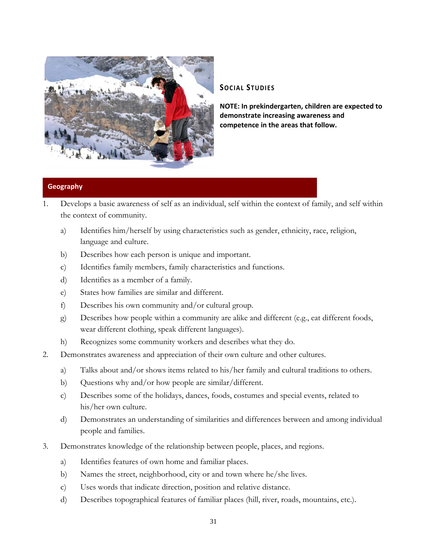

## **SOCIAL STUDIES**

**that follow. competence in the areas NOTE: In prekindergarten, children are expected to demonstrate increasing awareness and**

## **Geography**

- 1. Develops a basic awareness of self as an individual, self within the context of family, and self within the context of community.
	- a) Identifies him/herself by using characteristics such as gender, ethnicity, race, religion, language and culture.
	- b) Describes how each person is unique and important.
	- c) Identifies family members, family characteristics and functions.
	- d) Identifies as a member of a family.
	- e) States how families are similar and different.
	- f) Describes his own community and/or cultural group.
	- g) Describes how people within a community are alike and different (e.g., eat different foods, wear different clothing, speak different languages).
	- h) Recognizes some community workers and describes what they do.
- 2. Demonstrates awareness and appreciation of their own culture and other cultures.
	- a) Talks about and/or shows items related to his/her family and cultural traditions to others.
	- b) Questions why and/or how people are similar/different.
	- c) Describes some of the holidays, dances, foods, costumes and special events, related to his/her own culture.
	- d) Demonstrates an understanding of similarities and differences between and among individual people and families.
- 3. Demonstrates knowledge of the relationship between people, places, and regions.
	- a) Identifies features of own home and familiar places.
	- b) Names the street, neighborhood, city or and town where he/she lives.
	- c) Uses words that indicate direction, position and relative distance.
	- d) Describes topographical features of familiar places (hill, river, roads, mountains, etc.).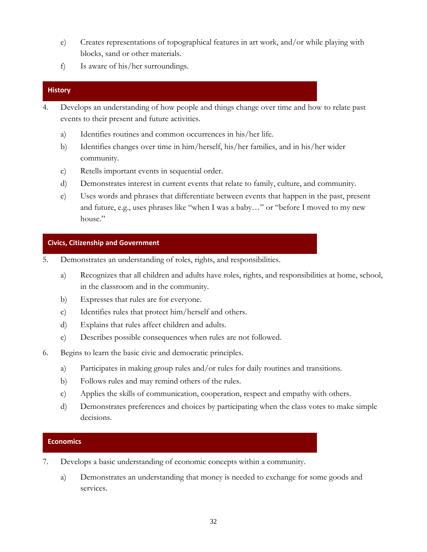- e) Creates representations of topographical features in art work, and/or while playing with blocks, sand or other materials.
- f) Is aware of his/her surroundings.

## **History**

- 4. Develops an understanding of how people and things change over time and how to relate past events to their present and future activities.
	- a) Identifies routines and common occurrences in his/her life.
	- b) Identifies changes over time in him/herself, his/her families, and in his/her wider community.
	- c) Retells important events in sequential order.
	- d) Demonstrates interest in current events that relate to family, culture, and community.
	- e) Uses words and phrases that differentiate between events that happen in the past, present and future, e.g., uses phrases like "when I was a baby…" or "before I moved to my new house."

## **Civics, Citizenship and Government**

- 5. Demonstrates an understanding of roles, rights, and responsibilities.
	- a) Recognizes that all children and adults have roles, rights, and responsibilities at home, school, in the classroom and in the community.
	- b) Expresses that rules are for everyone.
	- c) Identifies rules that protect him/herself and others.
	- d) Explains that rules affect children and adults.
	- e) Describes possible consequences when rules are not followed.
- 6. Begins to learn the basic civic and democratic principles.
	- a) Participates in making group rules and/or rules for daily routines and transitions.
	- b) Follows rules and may remind others of the rules.
	- c) Applies the skills of communication, cooperation, respect and empathy with others.
	- d) Demonstrates preferences and choices by participating when the class votes to make simple decisions.

## **Economics**

- 7. Develops a basic understanding of economic concepts within a community.
	- a) Demonstrates an understanding that money is needed to exchange for some goods and services.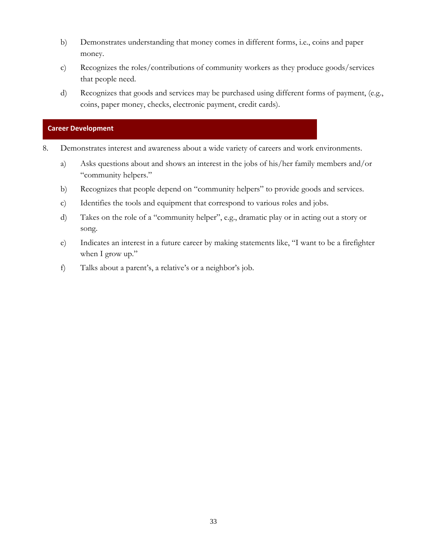- b) Demonstrates understanding that money comes in different forms, i.e., coins and paper money.
- c) Recognizes the roles/contributions of community workers as they produce goods/services that people need.
- d) Recognizes that goods and services may be purchased using different forms of payment, (e.g., coins, paper money, checks, electronic payment, credit cards).

## **Career Development**

- 8. Demonstrates interest and awareness about a wide variety of careers and work environments.
	- a) Asks questions about and shows an interest in the jobs of his/her family members and/or "community helpers."
	- b) Recognizes that people depend on "community helpers" to provide goods and services.
	- c) Identifies the tools and equipment that correspond to various roles and jobs.
	- d) Takes on the role of a "community helper", e.g., dramatic play or in acting out a story or song.
	- e) Indicates an interest in a future career by making statements like, "I want to be a firefighter when I grow up."
	- f) Talks about a parent's, a relative's or a neighbor's job.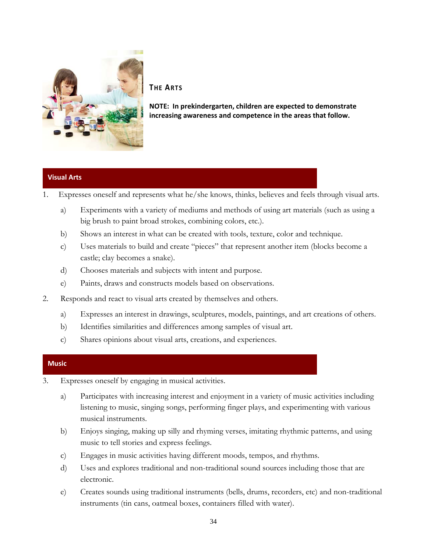

## **THE ARTS**

**NOTE: In prekindergarten, children are expected to demonstrate increasing awareness and competence in the areas that follow.**

## **Visual Arts**

1. Expresses oneself and represents what he/she knows, thinks, believes and feels through visual arts.

- a) Experiments with a variety of mediums and methods of using art materials (such as using a big brush to paint broad strokes, combining colors, etc.).
- b) Shows an interest in what can be created with tools, texture, color and technique.
- c) Uses materials to build and create "pieces" that represent another item (blocks become a castle; clay becomes a snake).
- d) Chooses materials and subjects with intent and purpose.
- e) Paints, draws and constructs models based on observations.
- 2. Responds and react to visual arts created by themselves and others.
	- a) Expresses an interest in drawings, sculptures, models, paintings, and art creations of others.
	- b) Identifies similarities and differences among samples of visual art.
	- c) Shares opinions about visual arts, creations, and experiences.

#### **Music**

- 3. Expresses oneself by engaging in musical activities.
	- a) Participates with increasing interest and enjoyment in a variety of music activities including listening to music, singing songs, performing finger plays, and experimenting with various musical instruments.
	- b) Enjoys singing, making up silly and rhyming verses, imitating rhythmic patterns, and using music to tell stories and express feelings.
	- c) Engages in music activities having different moods, tempos, and rhythms.
	- d) Uses and explores traditional and non-traditional sound sources including those that are electronic.
	- e) Creates sounds using traditional instruments (bells, drums, recorders, etc) and non-traditional instruments (tin cans, oatmeal boxes, containers filled with water).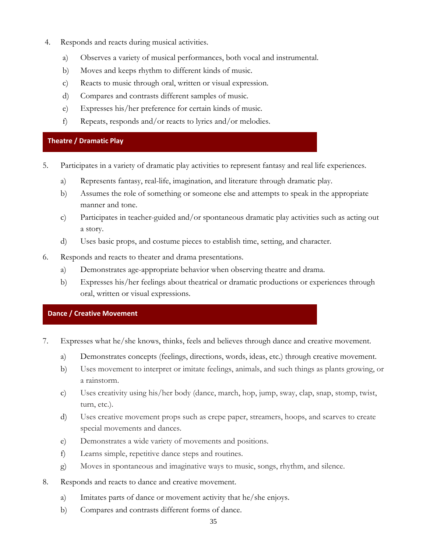- 4. Responds and reacts during musical activities.
	- a) Observes a variety of musical performances, both vocal and instrumental.
	- b) Moves and keeps rhythm to different kinds of music.
	- c) Reacts to music through oral, written or visual expression.
	- d) Compares and contrasts different samples of music.
	- e) Expresses his/her preference for certain kinds of music.
	- f) Repeats, responds and/or reacts to lyrics and/or melodies.

## **Theatre / Dramatic Play**

- 5. Participates in a variety of dramatic play activities to represent fantasy and real life experiences.
	- a) Represents fantasy, real-life, imagination, and literature through dramatic play.
	- b) Assumes the role of something or someone else and attempts to speak in the appropriate manner and tone.
	- c) Participates in teacher-guided and/or spontaneous dramatic play activities such as acting out a story.
	- d) Uses basic props, and costume pieces to establish time, setting, and character.
- 6. Responds and reacts to theater and drama presentations.
	- a) Demonstrates age-appropriate behavior when observing theatre and drama.
	- b) Expresses his/her feelings about theatrical or dramatic productions or experiences through oral, written or visual expressions.

## **Dance / Creative Movement**

- 7. Expresses what he/she knows, thinks, feels and believes through dance and creative movement.
	- a) Demonstrates concepts (feelings, directions, words, ideas, etc.) through creative movement.
	- b) Uses movement to interpret or imitate feelings, animals, and such things as plants growing, or a rainstorm.
	- c) Uses creativity using his/her body (dance, march, hop, jump, sway, clap, snap, stomp, twist, turn, etc.).
	- d) Uses creative movement props such as crepe paper, streamers, hoops, and scarves to create special movements and dances.
	- e) Demonstrates a wide variety of movements and positions.
	- f) Learns simple, repetitive dance steps and routines.
	- g) Moves in spontaneous and imaginative ways to music, songs, rhythm, and silence.
- 8. Responds and reacts to dance and creative movement.
	- a) Imitates parts of dance or movement activity that he/she enjoys.
	- b) Compares and contrasts different forms of dance.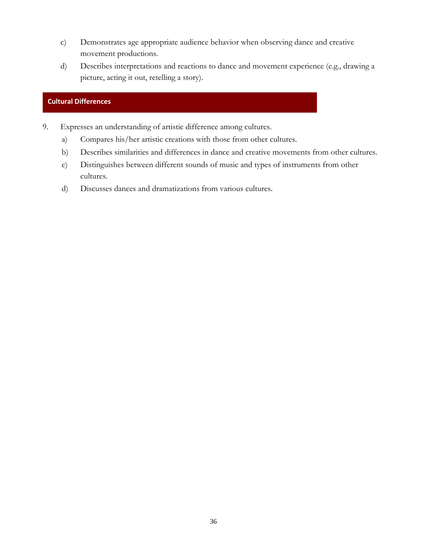- c) Demonstrates age appropriate audience behavior when observing dance and creative movement productions.
- d) Describes interpretations and reactions to dance and movement experience (e.g., drawing a picture, acting it out, retelling a story).

## **Cultural Differences**

- 9. Expresses an understanding of artistic difference among cultures.
	- a) Compares his/her artistic creations with those from other cultures.
	- b) Describes similarities and differences in dance and creative movements from other cultures.
	- c) Distinguishes between different sounds of music and types of instruments from other cultures.
	- d) Discusses dances and dramatizations from various cultures.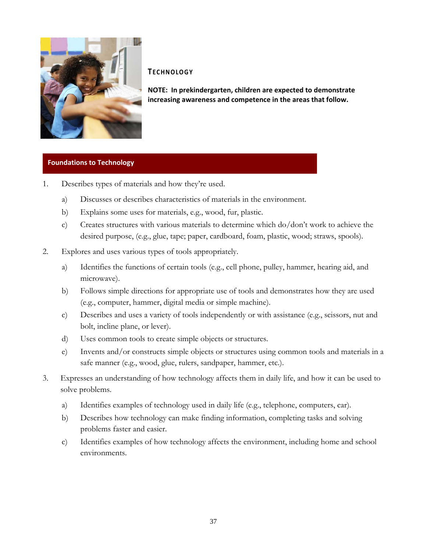

#### **TECHNOLOGY**

**NOTE: In prekindergarten, children are expected to demonstrate increasing awareness and competence in the areas that follow.**

## **Foundations to Technology**

- 1. Describes types of materials and how they're used.
	- a) Discusses or describes characteristics of materials in the environment.
	- b) Explains some uses for materials, e.g., wood, fur, plastic.
	- c) Creates structures with various materials to determine which do/don't work to achieve the desired purpose, (e.g., glue, tape; paper, cardboard, foam, plastic, wood; straws, spools).
- 2. Explores and uses various types of tools appropriately.
	- a) Identifies the functions of certain tools (e.g., cell phone, pulley, hammer, hearing aid, and microwave).
	- b) Follows simple directions for appropriate use of tools and demonstrates how they are used (e.g., computer, hammer, digital media or simple machine).
	- c) Describes and uses a variety of tools independently or with assistance (e.g., scissors, nut and bolt, incline plane, or lever).
	- d) Uses common tools to create simple objects or structures.
	- e) Invents and/or constructs simple objects or structures using common tools and materials in a safe manner (e.g., wood, glue, rulers, sandpaper, hammer, etc.).
- 3. Expresses an understanding of how technology affects them in daily life, and how it can be used to solve problems.
	- a) Identifies examples of technology used in daily life (e.g., telephone, computers, car).
	- b) Describes how technology can make finding information, completing tasks and solving problems faster and easier.
	- c) Identifies examples of how technology affects the environment, including home and school environments.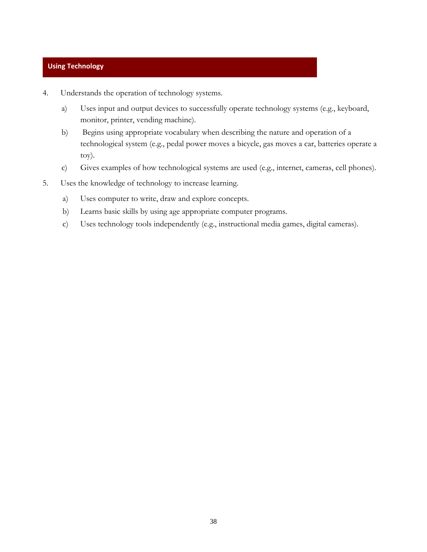## **Using Technology**

- 4. Understands the operation of technology systems.
	- a) Uses input and output devices to successfully operate technology systems (e.g., keyboard, monitor, printer, vending machine).
	- b) Begins using appropriate vocabulary when describing the nature and operation of a technological system (e.g., pedal power moves a bicycle, gas moves a car, batteries operate a toy).
	- c) Gives examples of how technological systems are used (e.g., internet, cameras, cell phones).
- 5. Uses the knowledge of technology to increase learning.
	- a) Uses computer to write, draw and explore concepts.
	- b) Learns basic skills by using age appropriate computer programs.
	- c) Uses technology tools independently (e.g., instructional media games, digital cameras).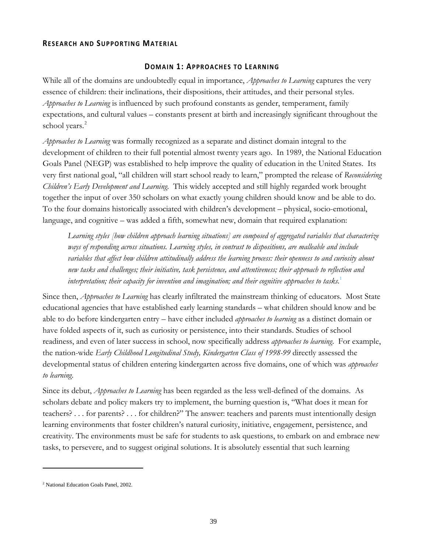#### **RESEARCH AND SUPPORTING MATERIAL**

#### **DOMAIN 1: APPROACHES TO LEARNING**

<span id="page-38-0"></span>While all of the domains are undoubtedly equal in importance, *Approaches to Learning* captures the very essence of children: their inclinations, their dispositions, their attitudes, and their personal styles. *Approaches to Learning* is influenced by such profound constants as gender, temperament, family expectations, and cultural values – constants present at birth and increasingly significant throughout the school years.<sup>[2](#page-38-1)</sup>

*Approaches to Learning* was formally recognized as a separate and distinct domain integral to the development of children to their full potential almost twenty years ago. In 1989, the National Education Goals Panel (NEGP) was established to help improve the quality of education in the United States. Its very first national goal, "all children will start school ready to learn," prompted the release of *Reconsidering Children's Early Development and Learning*. This widely accepted and still highly regarded work brought together the input of over 350 scholars on what exactly young children should know and be able to do. To the four domains historically associated with children's development – physical, socio-emotional, language, and cognitive – was added a fifth, somewhat new, domain that required explanation:

*Learning styles [how children approach learning situations] are composed of aggregated variables that characterize ways of responding across situations. Learning styles, in contrast to dispositions, are malleable and include variables that affect how children attitudinally address the learning process: their openness to and curiosity about new tasks and challenges; their initiative, task persistence, and attentiveness; their approach to reflection and*  interpretation; their capacity for invention and imagination; and their cognitive approaches to tasks.<sup>[1](https://gw.nysed.gov/gw/webacc/cy8vt7Xg1gs8qo9Mi2/GWAP/AREF/2?action=Attachment.View&error=fileview&Item.Attachment.filename=Approaches+to+Learning%2edoc&Item.Attachment.id=2&User.context=cy8vt7Xg1gs8qo9Mi2&Item.drn=8700z196z0&Item.Child.id=&Item.Attachment.allowViewNative=1#footnote1#footnote1)</sup>

Since then, *Approaches to Learning* has clearly infiltrated the mainstream thinking of educators. Most State educational agencies that have established early learning standards – what children should know and be able to do before kindergarten entry – have either included *approaches to learning* as a distinct domain or have folded aspects of it, such as curiosity or persistence, into their standards. Studies of school readiness, and even of later success in school, now specifically address *approaches to learning*. For example, the nation-wide *Early Childhood Longitudinal Study, Kindergarten Class of 1998-99* directly assessed the developmental status of children entering kindergarten across five domains, one of which was *approaches to learning*.

Since its debut, *Approaches to Learning* has been regarded as the less well-defined of the domains. As scholars debate and policy makers try to implement, the burning question is, "What does it mean for teachers? . . . for parents? . . . for children?" The answer: teachers and parents must intentionally design learning environments that foster children's natural curiosity, initiative, engagement, persistence, and creativity. The environments must be safe for students to ask questions, to embark on and embrace new tasks, to persevere, and to suggest original solutions. It is absolutely essential that such learning

 $\overline{a}$ 

<span id="page-38-1"></span><sup>&</sup>lt;sup>2</sup> National Education Goals Panel, 2002.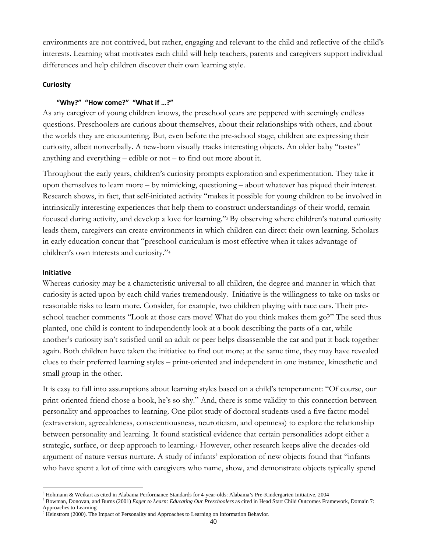environments are not contrived, but rather, engaging and relevant to the child and reflective of the child's interests. Learning what motivates each child will help teachers, parents and caregivers support individual differences and help children discover their own learning style.

## **Curiosity**

## **"Why?" "How come?" "What if …?"**

As any caregiver of young children knows, the preschool years are peppered with seemingly endless questions. Preschoolers are curious about themselves, about their relationships with others, and about the worlds they are encountering. But, even before the pre-school stage, children are expressing their curiosity, albeit nonverbally. A new-born visually tracks interesting objects. An older baby "tastes" anything and everything – edible or not – to find out more about it.

Throughout the early years, children's curiosity prompts exploration and experimentation. They take it upon themselves to learn more – by mimicking, questioning – about whatever has piqued their interest. Research shows, in fact, that self-initiated activity "makes it possible for young children to be involved in intrinsically interesting experiences that help them to construct understandings of their world, remain focused during activity, and develop a love for learning."[3](#page-39-0) By observing where children's natural curiosity leads them, caregivers can create environments in which children can direct their own learning. Scholars in early education concur that "preschool curriculum is most effective when it takes advantage of children's own interests and curiosity."[4](#page-39-1)

#### **Initiative**

Whereas curiosity may be a characteristic universal to all children, the degree and manner in which that curiosity is acted upon by each child varies tremendously. Initiative is the willingness to take on tasks or reasonable risks to learn more. Consider, for example, two children playing with race cars. Their preschool teacher comments "Look at those cars move! What do you think makes them go?" The seed thus planted, one child is content to independently look at a book describing the parts of a car, while another's curiosity isn't satisfied until an adult or peer helps disassemble the car and put it back together again. Both children have taken the initiative to find out more; at the same time, they may have revealed clues to their preferred learning styles – print-oriented and independent in one instance, kinesthetic and small group in the other.

It is easy to fall into assumptions about learning styles based on a child's temperament: "Of course, our print-oriented friend chose a book, he's so shy." And, there is some validity to this connection between personality and approaches to learning. One pilot study of doctoral students used a five factor model (extraversion, agreeableness, conscientiousness, neuroticism, and openness) to explore the relationship between personality and learning. It found statistical evidence that certain personalities adopt either a strategic, surface, or deep approach to learning.<sup>[5](#page-39-2)</sup> However, other research keeps alive the decades-old argument of nature versus nurture. A study of infants' exploration of new objects found that "infants who have spent a lot of time with caregivers who name, show, and demonstrate objects typically spend

 $\overline{a}$ <sup>3</sup> Hohmann & Weikart as cited in Alabama Performance Standards for 4-year-olds: Alabama's Pre-Kindergarten Initiative, 2004

<span id="page-39-1"></span><span id="page-39-0"></span><sup>4</sup> Bowman, Donovan, and Burns (2001) *Eager to Learn: Educating Our Preschoolers* as cited in Head Start Child Outcomes Framework, Domain 7: Approaches to Learning

<span id="page-39-2"></span><sup>5</sup> Heinstrom (2000). The Impact of Personality and Approaches to Learning on Information Behavior.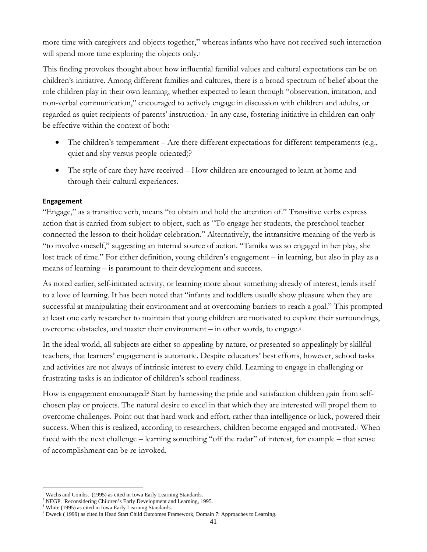more time with caregivers and objects together," whereas infants who have not received such interaction will spend more time exploring the objects only.<sup>[6](#page-40-0)</sup>

This finding provokes thought about how influential familial values and cultural expectations can be on children's initiative. Among different families and cultures, there is a broad spectrum of belief about the role children play in their own learning, whether expected to learn through "observation, imitation, and non-verbal communication," encouraged to actively engage in discussion with children and adults, or regarded as quiet recipients of parents' instruction.[7](#page-40-1) In any case, fostering initiative in children can only be effective within the context of both:

- The children's temperament Are there different expectations for different temperaments (e.g., quiet and shy versus people-oriented)?
- The style of care they have received How children are encouraged to learn at home and through their cultural experiences.

## **Engagement**

"Engage," as a transitive verb, means "to obtain and hold the attention of." Transitive verbs express action that is carried from subject to object, such as "To engage her students, the preschool teacher connected the lesson to their holiday celebration." Alternatively, the intransitive meaning of the verb is "to involve oneself," suggesting an internal source of action. "Tamika was so engaged in her play, she lost track of time." For either definition, young children's engagement – in learning, but also in play as a means of learning – is paramount to their development and success.

As noted earlier, self-initiated activity, or learning more about something already of interest, lends itself to a love of learning. It has been noted that "infants and toddlers usually show pleasure when they are successful at manipulating their environment and at overcoming barriers to reach a goal." This prompted at least one early researcher to maintain that young children are motivated to explore their surroundings, overcome obstacles, and master their environment – in other words, to engage.[8](#page-40-2)

In the ideal world, all subjects are either so appealing by nature, or presented so appealingly by skillful teachers, that learners' engagement is automatic. Despite educators' best efforts, however, school tasks and activities are not always of intrinsic interest to every child. Learning to engage in challenging or frustrating tasks is an indicator of children's school readiness.

How is engagement encouraged? Start by harnessing the pride and satisfaction children gain from selfchosen play or projects. The natural desire to excel in that which they are interested will propel them to overcome challenges. Point out that hard work and effort, rather than intelligence or luck, powered their success. When this is realized, according to researchers, children become engaged and motivated.<sup>[9](#page-40-3)</sup> When faced with the next challenge – learning something "off the radar" of interest, for example – that sense of accomplishment can be re-invoked.

 $\overline{a}$ <sup>6</sup> Wachs and Combs. (1995) as cited in Iowa Early Learning Standards.

<span id="page-40-1"></span><span id="page-40-0"></span><sup>&</sup>lt;sup>7</sup> NEGP. Reconsidering Children's Early Development and Learning, 1995.

<span id="page-40-2"></span><sup>&</sup>lt;sup>8</sup> White (1995) as cited in Iowa Early Learning Standards.

<span id="page-40-3"></span><sup>9</sup> Dweck ( 1999) as cited in Head Start Child Outcomes Framework, Domain 7: Approaches to Learning.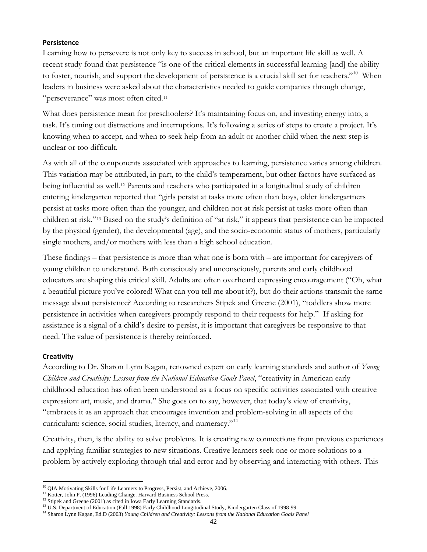## **Persistence**

Learning how to persevere is not only key to success in school, but an important life skill as well. A recent study found that persistence "is one of the critical elements in successful learning [and] the ability to foster, nourish, and support the development of persistence is a crucial skill set for teachers."<sup>[10](#page-41-0)</sup> When leaders in business were asked about the characteristics needed to guide companies through change, "perseverance" was most often cited.<sup>[11](#page-41-1)</sup>

What does persistence mean for preschoolers? It's maintaining focus on, and investing energy into, a task. It's tuning out distractions and interruptions. It's following a series of steps to create a project. It's knowing when to accept, and when to seek help from an adult or another child when the next step is unclear or too difficult.

As with all of the components associated with approaches to learning, persistence varies among children. This variation may be attributed, in part, to the child's temperament, but other factors have surfaced as being influential as well.[12](#page-41-2) Parents and teachers who participated in a longitudinal study of children entering kindergarten reported that "girls persist at tasks more often than boys, older kindergartners persist at tasks more often than the younger, and children not at risk persist at tasks more often than children at risk."[13](#page-41-3) Based on the study's definition of "at risk," it appears that persistence can be impacted by the physical (gender), the developmental (age), and the socio-economic status of mothers, particularly single mothers, and/or mothers with less than a high school education.

These findings – that persistence is more than what one is born with – are important for caregivers of young children to understand. Both consciously and unconsciously, parents and early childhood educators are shaping this critical skill. Adults are often overheard expressing encouragement ("Oh, what a beautiful picture you've colored! What can you tell me about it?), but do their actions transmit the same message about persistence? According to researchers Stipek and Greene (2001), "toddlers show more persistence in activities when caregivers promptly respond to their requests for help." If asking for assistance is a signal of a child's desire to persist, it is important that caregivers be responsive to that need. The value of persistence is thereby reinforced.

## **Creativity**

According to Dr. Sharon Lynn Kagan, renowned expert on early learning standards and author of *Young Children and Creativity: Lessons from the National Education Goals Panel*, "creativity in American early childhood education has often been understood as a focus on specific activities associated with creative expression: art, music, and drama." She goes on to say, however, that today's view of creativity, "embraces it as an approach that encourages invention and problem-solving in all aspects of the curriculum: science, social studies, literacy, and numeracy."<sup>[14](#page-41-4)</sup>

Creativity, then, is the ability to solve problems. It is creating new connections from previous experiences and applying familiar strategies to new situations. Creative learners seek one or more solutions to a problem by actively exploring through trial and error and by observing and interacting with others. This

 $\overline{a}$ <sup>10</sup> QIA Motivating Skills for Life Learners to Progress, Persist, and Achieve, 2006.

<span id="page-41-1"></span><span id="page-41-0"></span><sup>&</sup>lt;sup>11</sup> Kotter, John P. (1996) Leading Change. Harvard Business School Press.

<span id="page-41-2"></span><sup>&</sup>lt;sup>12</sup> Stipek and Greene (2001) as cited in Iowa Early Learning Standards.

<span id="page-41-3"></span><sup>&</sup>lt;sup>13</sup> U.S. Department of Education (Fall 1998) Early Childhood Longitudinal Study, Kindergarten Class of 1998-99.

<span id="page-41-4"></span><sup>14</sup> Sharon Lynn Kagan, Ed.D (2003) *Young Children and Creativity: Lessons from the National Education Goals Panel*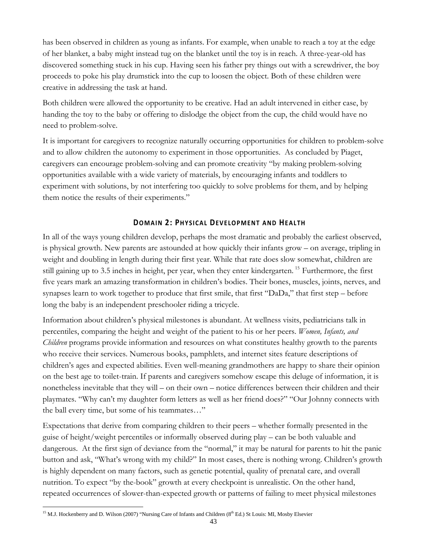has been observed in children as young as infants. For example, when unable to reach a toy at the edge of her blanket, a baby might instead tug on the blanket until the toy is in reach. A three-year-old has discovered something stuck in his cup. Having seen his father pry things out with a screwdriver, the boy proceeds to poke his play drumstick into the cup to loosen the object. Both of these children were creative in addressing the task at hand.

Both children were allowed the opportunity to be creative. Had an adult intervened in either case, by handing the toy to the baby or offering to dislodge the object from the cup, the child would have no need to problem-solve.

It is important for caregivers to recognize naturally occurring opportunities for children to problem-solve and to allow children the autonomy to experiment in those opportunities. As concluded by Piaget, caregivers can encourage problem-solving and can promote creativity "by making problem-solving opportunities available with a wide variety of materials, by encouraging infants and toddlers to experiment with solutions, by not interfering too quickly to solve problems for them, and by helping them notice the results of their experiments."

## **DOMAIN 2: PHYSICAL DEVELOPMENT AND HEALTH**

<span id="page-42-0"></span>In all of the ways young children develop, perhaps the most dramatic and probably the earliest observed, is physical growth. New parents are astounded at how quickly their infants grow – on average, tripling in weight and doubling in length during their first year. While that rate does slow somewhat, children are still gaining up to 3.5 inches in height, per year, when they enter kindergarten. [15](#page-42-1) Furthermore, the first five years mark an amazing transformation in children's bodies. Their bones, muscles, joints, nerves, and synapses learn to work together to produce that first smile, that first "DaDa," that first step – before long the baby is an independent preschooler riding a tricycle.

Information about children's physical milestones is abundant. At wellness visits, pediatricians talk in percentiles, comparing the height and weight of the patient to his or her peers. *Women, Infants, and Children* programs provide information and resources on what constitutes healthy growth to the parents who receive their services. Numerous books, pamphlets, and internet sites feature descriptions of children's ages and expected abilities. Even well-meaning grandmothers are happy to share their opinion on the best age to toilet-train. If parents and caregivers somehow escape this deluge of information, it is nonetheless inevitable that they will – on their own – notice differences between their children and their playmates. "Why can't my daughter form letters as well as her friend does?" "Our Johnny connects with the ball every time, but some of his teammates…"

Expectations that derive from comparing children to their peers – whether formally presented in the guise of height/weight percentiles or informally observed during play – can be both valuable and dangerous. At the first sign of deviance from the "normal," it may be natural for parents to hit the panic button and ask, "What's wrong with my child?" In most cases, there is nothing wrong. Children's growth is highly dependent on many factors, such as genetic potential, quality of prenatal care, and overall nutrition. To expect "by the-book" growth at every checkpoint is unrealistic. On the other hand, repeated occurrences of slower-than-expected growth or patterns of failing to meet physical milestones

<span id="page-42-1"></span> $\overline{a}$ <sup>15</sup> M.J. Hockenberry and D. Wilson (2007) "Nursing Care of Infants and Children (8<sup>th</sup> Ed.) St Louis: MI, Mosby Elsevier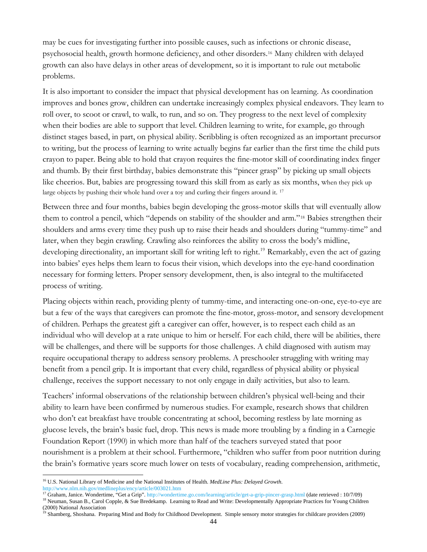may be cues for investigating further into possible causes, such as infections or chronic disease, psychosocial health, growth hormone deficiency, and other disorders.[16](#page-43-0) Many children with delayed growth can also have delays in other areas of development, so it is important to rule out metabolic problems.

It is also important to consider the impact that physical development has on learning. As coordination improves and bones grow, children can undertake increasingly complex physical endeavors. They learn to roll over, to scoot or crawl, to walk, to run, and so on. They progress to the next level of complexity when their bodies are able to support that level. Children learning to write, for example, go through distinct stages based, in part, on physical ability. Scribbling is often recognized as an important precursor to writing, but the process of learning to write actually begins far earlier than the first time the child puts crayon to paper. Being able to hold that crayon requires the fine-motor skill of coordinating index finger and thumb. By their first birthday, babies demonstrate this "pincer grasp" by picking up small objects like cheerios. But, babies are progressing toward this skill from as early as six months, when they pick up large objects by pushing their whole hand over a toy and curling their fingers around it.<sup>[17](#page-43-1)</sup>

Between three and four months, babies begin developing the gross-motor skills that will eventually allow them to control a pencil, which "depends on stability of the shoulder and arm."[18](#page-43-2) Babies strengthen their shoulders and arms every time they push up to raise their heads and shoulders during "tummy-time" and later, when they begin crawling. Crawling also reinforces the ability to cross the body's midline, developing directionality, an important skill for writing left to right.<sup>[19](#page-43-3)</sup> Remarkably, even the act of gazing into babies' eyes helps them learn to focus their vision, which develops into the eye-hand coordination necessary for forming letters. Proper sensory development, then, is also integral to the multifaceted process of writing.

Placing objects within reach, providing plenty of tummy-time, and interacting one-on-one, eye-to-eye are but a few of the ways that caregivers can promote the fine-motor, gross-motor, and sensory development of children. Perhaps the greatest gift a caregiver can offer, however, is to respect each child as an individual who will develop at a rate unique to him or herself. For each child, there will be abilities, there will be challenges, and there will be supports for those challenges. A child diagnosed with autism may require occupational therapy to address sensory problems. A preschooler struggling with writing may benefit from a pencil grip. It is important that every child, regardless of physical ability or physical challenge, receives the support necessary to not only engage in daily activities, but also to learn.

Teachers' informal observations of the relationship between children's physical well-being and their ability to learn have been confirmed by numerous studies. For example, research shows that children who don't eat breakfast have trouble concentrating at school, becoming restless by late morning as glucose levels, the brain's basic fuel, drop. This news is made more troubling by a finding in a Carnegie Foundation Report (1990) in which more than half of the teachers surveyed stated that poor nourishment is a problem at their school. Furthermore, "children who suffer from poor nutrition during the brain's formative years score much lower on tests of vocabulary, reading comprehension, arithmetic,

 $\overline{a}$ 

<span id="page-43-1"></span><sup>17</sup> Graham, Janice. Wondertime, "Get a Grip". <http://wondertime.go.com/learning/article/get-a-grip-pincer-grasp.html>(date retrieved : 10/7/09)

<span id="page-43-0"></span><sup>16</sup> U.S. National Library of Medicine and the National Institutes of Health. *MedLine Plus: Delayed Growth*. <http://www.nlm.nih.gov/medlineplus/ency/article/003021.htm>

<span id="page-43-2"></span><sup>&</sup>lt;sup>18</sup> Neuman, Susan B., Carol Copple, & Sue Bredekamp. Learning to Read and Write: Developmentally Appropriate Practices for Young Children  $(2000)$  National Association

<span id="page-43-3"></span><sup>19</sup> Shamberg, Shoshana. Preparing Mind and Body for Childhood Development. Simple sensory motor strategies for childcare providers (2009)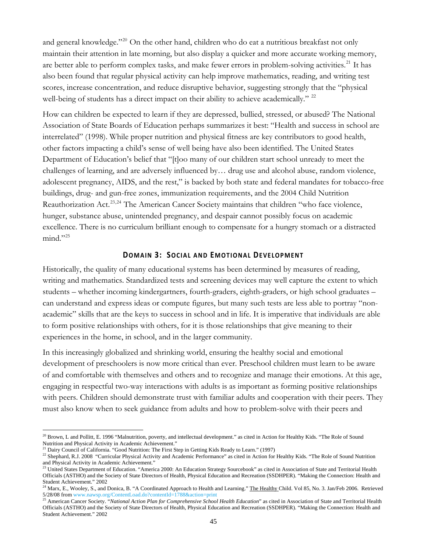and general knowledge."<sup>[20](#page-44-1)</sup> On the other hand, children who do eat a nutritious breakfast not only maintain their attention in late morning, but also display a quicker and more accurate working memory, are better able to perform complex tasks, and make fewer errors in problem-solving activities.<sup>[21](#page-44-2)</sup> It has also been found that regular physical activity can help improve mathematics, reading, and writing test scores, increase concentration, and reduce disruptive behavior, suggesting strongly that the "physical well-being of students has a direct impact on their ability to achieve academically." <sup>[22](#page-44-3)</sup>

How can children be expected to learn if they are depressed, bullied, stressed, or abused? The National Association of State Boards of Education perhaps summarizes it best: "Health and success in school are interrelated" (1998). While proper nutrition and physical fitness are key contributors to good health, other factors impacting a child's sense of well being have also been identified. The United States Department of Education's belief that "[t]oo many of our children start school unready to meet the challenges of learning, and are adversely influenced by… drug use and alcohol abuse, random violence, adolescent pregnancy, AIDS, and the rest," is backed by both state and federal mandates for tobacco-free buildings, drug- and gun-free zones, immunization requirements, and the 2004 Child Nutrition Reauthorization Act.<sup>[23](#page-44-4),[24](#page-44-5)</sup> The American Cancer Society maintains that children "who face violence, hunger, substance abuse, unintended pregnancy, and despair cannot possibly focus on academic excellence. There is no curriculum brilliant enough to compensate for a hungry stomach or a distracted  $mind."$ <sup>[25](#page-44-6)</sup>

#### **DOMAIN 3: SOCIAL AND EMOTIONAL DEVELOPMENT**

<span id="page-44-0"></span>Historically, the quality of many educational systems has been determined by measures of reading, writing and mathematics. Standardized tests and screening devices may well capture the extent to which students – whether incoming kindergartners, fourth-graders, eighth-graders, or high school graduates – can understand and express ideas or compute figures, but many such tests are less able to portray "nonacademic" skills that are the keys to success in school and in life. It is imperative that individuals are able to form positive relationships with others, for it is those relationships that give meaning to their experiences in the home, in school, and in the larger community.

In this increasingly globalized and shrinking world, ensuring the healthy social and emotional development of preschoolers is now more critical than ever. Preschool children must learn to be aware of and comfortable with themselves and others and to recognize and manage their emotions. At this age, engaging in respectful two-way interactions with adults is as important as forming positive relationships with peers. Children should demonstrate trust with familiar adults and cooperation with their peers. They must also know when to seek guidance from adults and how to problem-solve with their peers and

 $\overline{a}$ 

<span id="page-44-1"></span> $^{20}$  Brown, L and Pollitt, E. 1996 "Malnutrition, poverty, and intellectual development." as cited in Action for Healthy Kids. "The Role of Sound Nutrition and Physical Activity in Academic Achievement."

<sup>&</sup>lt;sup>21</sup> Dairy Council of California. "Good Nutrition: The First Step in Getting Kids Ready to Learn." (1997)

<span id="page-44-3"></span><span id="page-44-2"></span><sup>&</sup>lt;sup>22</sup> Shephard, R.J. 2008 "Curricular Physical Activity and Academic Performance" as cited in Action for Healthy Kids. "The Role of Sound Nutrition and Physical Activity in Academic Achievement."

<span id="page-44-4"></span><sup>&</sup>lt;sup>23</sup> United States Department of Education. "America 2000: An Education Strategy Sourcebook" as cited in Association of State and Territorial Health Officials (ASTHO) and the Society of State Directors of Health, Physical Education and Recreation (SSDHPER). "Making the Connection: Health and Student Achievement." 2002

<span id="page-44-5"></span> $^{24}$  Marx, E., Wooley, S., [an](http://www.nawsp.org/ContentLoad.do?contentId=1788&action=print)d Donica, B. "A Coordinated Approach to Health and Learning." The Healthy Child. Vol 85, No. 3. Jan/Feb 2006. Retrieved 5/28/08 from [www.nawsp.org/ContentLoad.do?contentId=1788&action=print](http://www.nawsp.org/ContentLoad.do?contentId=1788&action=print)

<span id="page-44-6"></span><sup>&</sup>lt;sup>25</sup> American Cancer Society. "*National Action Plan for Comprehensive School Health Education*" as cited in Association of State and Territorial Health Officials (ASTHO) and the Society of State Directors of Health, Physical Education and Recreation (SSDHPER). "Making the Connection: Health and Student Achievement." 2002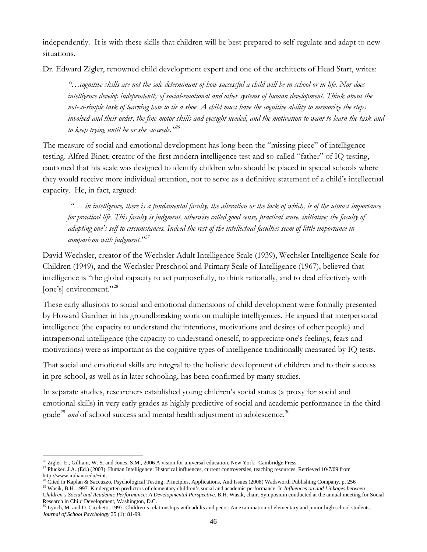independently. It is with these skills that children will be best prepared to self-regulate and adapt to new situations.

Dr. Edward Zigler, renowned child development expert and one of the architects of Head Start, writes:

*"…cognitive skills are not the sole determinant of how successful a child will be in school or in life. Nor does intelligence develop independently of social-emotional and other systems of human development. Think about the not-so-simple task of learning how to tie a shoe. A child must have the cognitive ability to memorize the steps involved and their order, the fine motor skills and eyesight needed, and the motivation to want to learn the task and to keep trying until he or she succeeds."[26](#page-45-0)*

The measure of social and emotional development has long been the "missing piece" of intelligence testing. Alfred Binet, creator of the first modern intelligence test and so-called "father" of IQ testing, cautioned that his scale was designed to identify children who should be placed in special schools where they would receive more individual attention, not to serve as a definitive statement of a child's intellectual capacity. He, in fact, argued:

 *". . . in intelligence, there is a fundamental faculty, the alteration or the lack of which, is of the utmost importance for practical life. This faculty is judgment, otherwise called good sense, practical sense, initiative; the faculty of adapting one's self to circumstances. Indeed the rest of the intellectual faculties seem of little importance in comparison with judgment."[27](#page-45-1)*

David Wechsler, creator of the Wechsler Adult Intelligence Scale (1939), Wechsler Intelligence Scale for Children (1949), and the Wechsler Preschool and Primary Scale of Intelligence (1967), believed that intelligence is "the global capacity to act purposefully, to think rationally, and to deal effectively with [one's] environment."<sup>[28](#page-45-2)</sup>

These early allusions to social and emotional dimensions of child development were formally presented by Howard Gardner in his groundbreaking work on multiple intelligences. He argued that interpersonal intelligence (the capacity to understand the intentions, motivations and desires of other people) and intrapersonal intelligence (the capacity to understand oneself, to appreciate one's feelings, fears and motivations) were as important as the cognitive types of intelligence traditionally measured by IQ tests.

That social and emotional skills are integral to the holistic development of children and to their success in pre-school, as well as in later schooling, has been confirmed by many studies.

In separate studies, researchers established young children's social status (a proxy for social and emotional skills) in very early grades as highly predictive of social and academic performance in the third grade<sup>[29](#page-45-3)</sup> *and* of school success and mental health adjustment in adolescence.<sup>[30](#page-45-4)</sup>

 $\overline{a}$ 

<span id="page-45-0"></span><sup>&</sup>lt;sup>26</sup> Zigler, E., Gilliam, W. S. and Jones, S.M., 2006 A vision for universal education. New York: Cambridge Press

<span id="page-45-1"></span> $^{27}$  Plucker. J.A. (Ed.) (2003). Human Intelligence: Historical influences, current controversies, teaching resources. Retrieved 10/7/09 from http://www.indiana.edu/~int.<br><sup>28</sup> Cited in Kaplan & Saccuzzo, Psychological Testing: Principles, Applications, And Issues (2008) Wadsworth Publishing Company. p. 256

<span id="page-45-2"></span><sup>&</sup>lt;sup>29</sup> Wasik, B.H. 1997. Kindergarten predictors of elementary children's social and academic performance. In *Influences on and Linkages between* 

<span id="page-45-3"></span>*Children's Social and Academic Performance: A Developmental Perspective*. B.H. Wasik, chair. Symposium conducted at the annual meeting for Social Research in Child Development, Washington, D.C. 30 Lynch, M. and peers: An examination of elementary and junior high school students.

<span id="page-45-4"></span>*Journal of School Psychology* 35 (1): 81-99.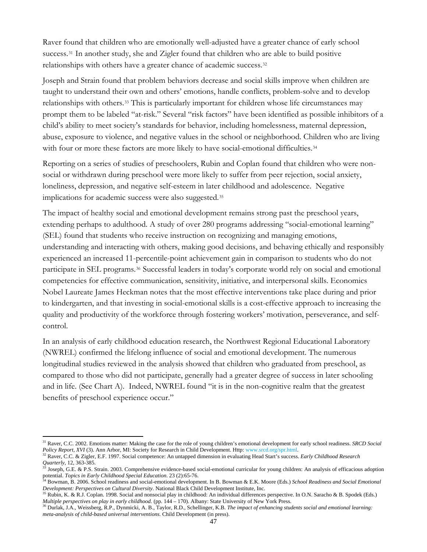Raver found that children who are emotionally well-adjusted have a greater chance of early school success.<sup>[31](#page-46-0)</sup> In another study, she and Zigler found that children who are able to build positive relationships with others have a greater chance of academic success.[32](#page-46-1)

Joseph and Strain found that problem behaviors decrease and social skills improve when children are taught to understand their own and others' emotions, handle conflicts, problem-solve and to develop relationships with others.[33](#page-46-2) This is particularly important for children whose life circumstances may prompt them to be labeled "at-risk." Several "risk factors" have been identified as possible inhibitors of a child's ability to meet society's standards for behavior, including homelessness, maternal depression, abuse, exposure to violence, and negative values in the school or neighborhood. Children who are living with four or more these factors are more likely to have social-emotional difficulties.<sup>[34](#page-46-3)</sup>

Reporting on a series of studies of preschoolers, Rubin and Coplan found that children who were nonsocial or withdrawn during preschool were more likely to suffer from peer rejection, social anxiety, loneliness, depression, and negative self-esteem in later childhood and adolescence. Negative implications for academic success were also suggested.<sup>[35](#page-46-4)</sup>

The impact of healthy social and emotional development remains strong past the preschool years, extending perhaps to adulthood. A study of over 280 programs addressing "social-emotional learning" (SEL) found that students who receive instruction on recognizing and managing emotions, understanding and interacting with others, making good decisions, and behaving ethically and responsibly experienced an increased 11-percentile-point achievement gain in comparison to students who do not participate in SEL programs.<sup>[36](#page-46-5)</sup> Successful leaders in today's corporate world rely on social and emotional competencies for effective communication, sensitivity, initiative, and interpersonal skills. Economics Nobel Laureate James Heckman notes that the most effective interventions take place during and prior to kindergarten, and that investing in social-emotional skills is a cost-effective approach to increasing the quality and productivity of the workforce through fostering workers' motivation, perseverance, and selfcontrol.

In an analysis of early childhood education research, the Northwest Regional Educational Laboratory (NWREL) confirmed the lifelong influence of social and emotional development. The numerous longitudinal studies reviewed in the analysis showed that children who graduated from preschool, as compared to those who did not participate, generally had a greater degree of success in later schooling and in life. (See Chart A). Indeed, NWREL found "it is in the non-cognitive realm that the greatest benefits of preschool experience occur."

<span id="page-46-0"></span> $\overline{a}$ 31 Raver, C.C. 2002. Emotions matter: Making the case for the role of young children's emotional development for early school readiness. *SRCD Social Policy Report, XVI* (3). Ann Arbor, MI: Society for Research in Child Development. Http: [www.srcd.org/spr.html](http://www.srcd.org/spr.html).

<span id="page-46-1"></span><sup>&</sup>lt;sup>32</sup> Raver, C.C. & Zigler, E.F. 1997. Social competence: An untapped dimension in evaluating Head Start's success. *Early Childhood Research Quarterly*, 12, 363-385.

<span id="page-46-2"></span><sup>&</sup>lt;sup>33</sup> Joseph, G.E. & P.S. Strain. 2003. Comprehensive evidence-based social-emotional curricular for young children: An analysis of efficacious adoption potential. Topics in Early Childhood Special Education. 23 (2):65-76.

<span id="page-46-3"></span>Bowman, B. 2006. School readiness and social-emotional development. In B. Bowman & E.K. Moore (Eds.) School Readiness and Social Emotional *Development: Perspectives on Cultural Diversity*. National Black Child Development Institute, Inc.

<span id="page-46-4"></span><sup>&</sup>lt;sup>35</sup> Rubin, K. & R.J. Coplan. 1998. Social and nonsocial play in childhood: An individual differences perspective. In O.N. Saracho & B. Spodek (Eds.) *Multiple perspectives on play in early childhood.* (pp. 144 – 170). Albany: State University of New York Press.

<span id="page-46-5"></span><sup>36</sup> Durlak, J.A., Weissberg, R.P., Dynmicki, A. B., Taylor, R.D., Schellinger, K.B. *The impact of enhancing students social and emotional learning: meta-analysis of child-based universal interventions.* Child Development (in press).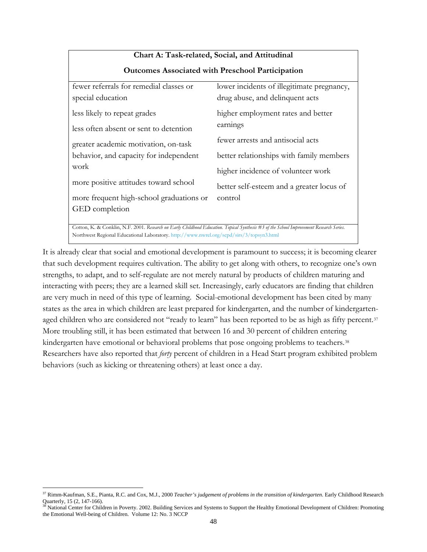| Chart A: Task-related, Social, and Attitudinal                                                                                          |                                            |  |  |
|-----------------------------------------------------------------------------------------------------------------------------------------|--------------------------------------------|--|--|
| <b>Outcomes Associated with Preschool Participation</b>                                                                                 |                                            |  |  |
| fewer referrals for remedial classes or                                                                                                 | lower incidents of illegitimate pregnancy, |  |  |
| special education                                                                                                                       | drug abuse, and delinquent acts            |  |  |
| less likely to repeat grades                                                                                                            | higher employment rates and better         |  |  |
| less often absent or sent to detention                                                                                                  | earnings                                   |  |  |
| greater academic motivation, on-task                                                                                                    | fewer arrests and antisocial acts          |  |  |
| behavior, and capacity for independent                                                                                                  | better relationships with family members   |  |  |
| work                                                                                                                                    | higher incidence of volunteer work         |  |  |
| more positive attitudes toward school                                                                                                   | better self-esteem and a greater locus of  |  |  |
| more frequent high-school graduations or                                                                                                | control                                    |  |  |
| GED completion                                                                                                                          |                                            |  |  |
|                                                                                                                                         |                                            |  |  |
| Cotton, K. & Conklin, N.F. 2001. Research on Early Childhood Education. Topical Synthesis #3 of the School Improvement Research Series. |                                            |  |  |

Northwest Regional Educational Laboratory.<http://www.nwrel.org/scpd/sirs/3/topsyn3.html>

It is already clear that social and emotional development is paramount to success; it is becoming clearer that such development requires cultivation. The ability to get along with others, to recognize one's own strengths, to adapt, and to self-regulate are not merely natural by products of children maturing and interacting with peers; they are a learned skill set. Increasingly, early educators are finding that children are very much in need of this type of learning. Social-emotional development has been cited by many states as the area in which children are least prepared for kindergarten, and the number of kindergarten-aged children who are considered not "ready to learn" has been reported to be as high as fifty percent.<sup>[37](#page-47-0)</sup> More troubling still, it has been estimated that between 16 and 30 percent of children entering kindergarten have emotional or behavioral problems that pose ongoing problems to teachers.<sup>[38](#page-47-1)</sup> Researchers have also reported that *forty* percent of children in a Head Start program exhibited problem behaviors (such as kicking or threatening others) at least once a day.

<span id="page-47-0"></span> $\overline{a}$ 37 Rimm-Kaufman, S.E., Pianta, R.C. and Cox, M.J., 2000 *Teacher's judgement of problems in the transition of kindergarten.* Early Childhood Research Quarterly, 15 (2, 147-166).<br><sup>38</sup> Notional Gaute for Calif.

<span id="page-47-1"></span><sup>38</sup> National Center for Children in Poverty. 2002. Building Services and Systems to Support the Healthy Emotional Development of Children: Promoting the Emotional Well-being of Children. Volume 12: No. 3 NCCP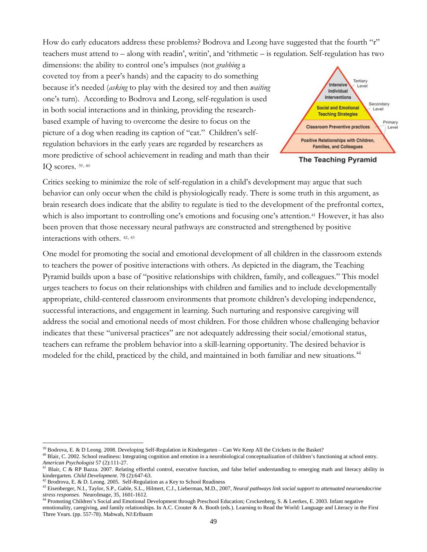How do early educators address these problems? Bodrova and Leong have suggested that the fourth "r" teachers must attend to – along with readin', writin', and 'rithmetic – is regulation. Self-regulation has two

dimensions: the ability to control one's impulses (not *grabbing* a coveted toy from a peer's hands) and the capacity to do something because it's needed (*asking* to play with the desired toy and then *waiting* one's turn). According to Bodrova and Leong, self-regulation is used in both social interactions and in thinking, providing the researchbased example of having to overcome the desire to focus on the picture of a dog when reading its caption of "cat." Children's selfregulation behaviors in the early years are regarded by researchers as more predictive of school achievement in reading and math than their IQ scores. [39](#page-48-0), [40](#page-48-1)



**The Teaching Pyramid** 

Critics seeking to minimize the role of self-regulation in a child's development may argue that such behavior can only occur when the child is physiologically ready. There is some truth in this argument, as brain research does indicate that the ability to regulate is tied to the development of the prefrontal cortex, which is also important to controlling one's emotions and focusing one's attention.<sup>[41](#page-48-2)</sup> However, it has also been proven that those necessary neural pathways are constructed and strengthened by positive interactions with others. [42](#page-48-3), [43](#page-48-4)

One model for promoting the social and emotional development of all children in the classroom extends to teachers the power of positive interactions with others. As depicted in the diagram, the Teaching Pyramid builds upon a base of "positive relationships with children, family, and colleagues." This model urges teachers to focus on their relationships with children and families and to include developmentally appropriate, child-centered classroom environments that promote children's developing independence, successful interactions, and engagement in learning. Such nurturing and responsive caregiving will address the social and emotional needs of most children. For those children whose challenging behavior indicates that these "universal practices" are not adequately addressing their social/emotional status, teachers can reframe the problem behavior into a skill-learning opportunity. The desired behavior is modeled for the child, practiced by the child, and maintained in both familiar and new situations.<sup>[44](#page-48-5)</sup>

 $\overline{a}$ 

 $39$  Bodrova, E. & D Leong. 2008. Developing Self-Regulation in Kindergarten – Can We Keep All the Crickets in the Basket?

<span id="page-48-1"></span><span id="page-48-0"></span><sup>40</sup> Blair, C. 2002. School readiness: Integrating cognition and emotion in a neurobiological conceptualization of children's functioning at school entry. *American Psychologist* 57 (2):111-27.

<span id="page-48-2"></span>Blair, C & RP Bazza. 2007. Relating effortful control, executive function, and false belief understanding to emerging math and literacy ability in kindergarten*. Child Development*. 78 (2):647-63.

 $42$  Brodrova, E. & D. Leong. 2005. Self-Regulation as a Key to School Readiness

<span id="page-48-4"></span><span id="page-48-3"></span><sup>43</sup> Eisenberger, N.I., Taylor, S.P., Gable, S.L., Hilmert, C.J., Lieberman, M.D., 2007, *Neural pathways link social support to attenuated neuroendocrine stress responses.* NeuroImage, 35, 1601-1612.

<span id="page-48-5"></span><sup>44</sup> Promoting Children's Social and Emotional Development through Preschool Education; Crockenberg, S. & Leerkes, E. 2003. Infant negative emotionality, caregiving, and family relationships. In A.C. Crouter & A. Booth (eds.). Learning to Read the World: Language and Literacy in the First Three Years. (pp. 557-78). Mahwah, NJ:Erlbaum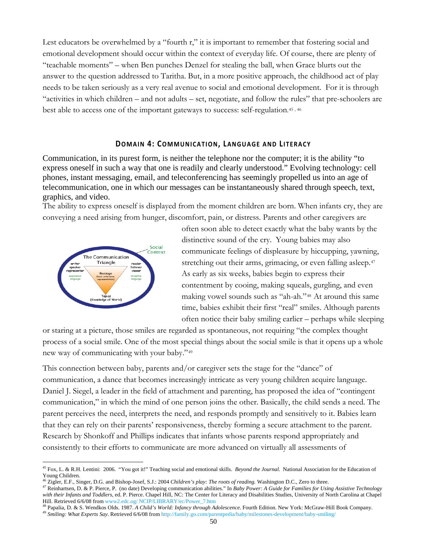Lest educators be overwhelmed by a "fourth r," it is important to remember that fostering social and emotional development should occur within the context of everyday life. Of course, there are plenty of "teachable moments" – when Ben punches Denzel for stealing the ball, when Grace blurts out the answer to the question addressed to Taritha. But, in a more positive approach, the childhood act of play needs to be taken seriously as a very real avenue to social and emotional development. For it is through "activities in which children – and not adults – set, negotiate, and follow the rules" that pre-schoolers are best able to access one of the important gateways to success: self-regulation.[45](#page-49-1) , [46](#page-49-2)

## **DOMAIN 4: COMMUNICATION, LANGUAGE AND LITERACY**

<span id="page-49-0"></span>Communication, in its purest form, is neither the telephone nor the computer; it is the ability "to express oneself in such a way that one is readily and clearly understood." Evolving technology: cell phones, instant messaging, email, and teleconferencing has seemingly propelled us into an age of telecommunication, one in which our messages can be instantaneously shared through speech, text, graphics, and video.

The ability to express oneself is displayed from the moment children are born. When infants cry, they are conveying a need arising from hunger, discomfort, pain, or distress. Parents and other caregivers are



 $\overline{a}$ 

often soon able to detect exactly what the baby wants by the distinctive sound of the cry. Young babies may also communicate feelings of displeasure by hiccupping, yawning, stretching out their arms, grimacing, or even falling asleep.<sup>[47](#page-49-3)</sup> As early as six weeks, babies begin to express their contentment by cooing, making squeals, gurgling, and even making vowel sounds such as "ah-ah."[48](#page-49-4) At around this same time, babies exhibit their first "real" smiles. Although parents often notice their baby smiling earlier – perhaps while sleeping

or staring at a picture, those smiles are regarded as spontaneous, not requiring "the complex thought process of a social smile. One of the most special things about the social smile is that it opens up a whole new way of communicating with your baby."[49](#page-49-5)

This connection between baby, parents and/or caregiver sets the stage for the "dance" of communication, a dance that becomes increasingly intricate as very young children acquire language. Daniel J. Siegel, a leader in the field of attachment and parenting, has proposed the idea of "contingent communication," in which the mind of one person joins the other. Basically, the child sends a need. The parent perceives the need, interprets the need, and responds promptly and sensitively to it. Babies learn that they can rely on their parents' responsiveness, thereby forming a secure attachment to the parent. Research by Shonkoff and Phillips indicates that infants whose parents respond appropriately and consistently to their efforts to communicate are more advanced on virtually all assessments of

<span id="page-49-1"></span><sup>45</sup> Fox, L. & R.H. Lentini: 2006. "You got it!" Teaching social and emotional skills. *Beyond the Journal.* National Association for the Education of Young Children.

<sup>46</sup> Zigler, E.F., Singer, D.G. and Bishop-Josef, S.J.: 2004 *Children's play: The roots of reading.* Washington D.C., Zero to three.

<span id="page-49-3"></span><span id="page-49-2"></span><sup>47</sup> Reinhartsen, D. & P. Pierce, P. (no date) Developing communication abilities." In *Baby Power: A Guide for Families for Using Assistive Technology with their Infants and Toddlers*, ed. P. Pierce. Chapel Hill, NC: The Center for Literacy and Disabilities Studies, University of North Carolina at Chapel Hill. Retrieved 6/6/08 from www2.edc.og/ NCIP/LIBRARY/ec/Power\_7.h

<sup>&</sup>lt;sup>48</sup> Papalia, D. & S. Wendkos Olds. 1987. *A Child's World: Infancy through Adolescence*. Fourth Edition. New York: McGraw-Hill Book Company.

<span id="page-49-5"></span><span id="page-49-4"></span><sup>49</sup> *Smiling: What Experts Say*. Retrieved 6/6/08 from<http://family.go.com/parentpedia/baby/milestones-development/baby-smiling/>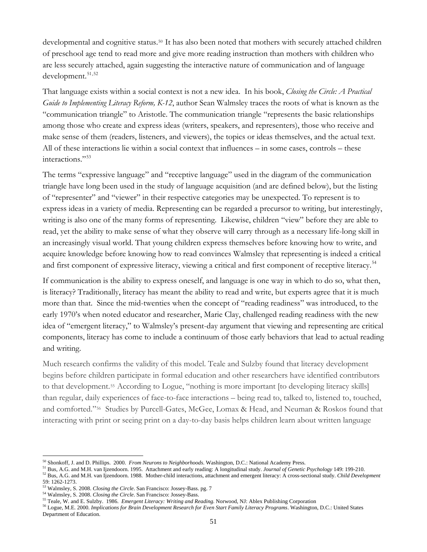developmental and cognitive status.[50](#page-50-0) It has also been noted that mothers with securely attached children of preschool age tend to read more and give more reading instruction than mothers with children who are less securely attached, again suggesting the interactive nature of communication and of language development.<sup>[51](#page-50-1),[52](#page-50-2)</sup>

That language exists within a social context is not a new idea. In his book, *Closing the Circle: A Practical Guide to Implementing Literacy Reform, K-12*, author Sean Walmsley traces the roots of what is known as the "communication triangle" to Aristotle. The communication triangle "represents the basic relationships among those who create and express ideas (writers, speakers, and representers), those who receive and make sense of them (readers, listeners, and viewers), the topics or ideas themselves, and the actual text. All of these interactions lie within a social context that influences – in some cases, controls – these interactions."[53](#page-50-3)

The terms "expressive language" and "receptive language" used in the diagram of the communication triangle have long been used in the study of language acquisition (and are defined below), but the listing of "representer" and "viewer" in their respective categories may be unexpected. To represent is to express ideas in a variety of media. Representing can be regarded a precursor to writing, but interestingly, writing is also one of the many forms of representing. Likewise, children "view" before they are able to read, yet the ability to make sense of what they observe will carry through as a necessary life-long skill in an increasingly visual world. That young children express themselves before knowing how to write, and acquire knowledge before knowing how to read convinces Walmsley that representing is indeed a critical and first component of expressive literacy, viewing a critical and first component of receptive literacy.<sup>[54](#page-50-4)</sup>

If communication is the ability to express oneself, and language is one way in which to do so, what then, is literacy? Traditionally, literacy has meant the ability to read and write, but experts agree that it is much more than that. Since the mid-twenties when the concept of "reading readiness" was introduced, to the early 1970's when noted educator and researcher, Marie Clay, challenged reading readiness with the new idea of "emergent literacy," to Walmsley's present-day argument that viewing and representing are critical components, literacy has come to include a continuum of those early behaviors that lead to actual reading and writing.

Much research confirms the validity of this model. Teale and Sulzby found that literacy development begins before children participate in formal education and other researchers have identified contributors to that development.<sup>[55](#page-50-5)</sup> According to Logue, "nothing is more important [to developing literacy skills] than regular, daily experiences of face-to-face interactions – being read to, talked to, listened to, touched, and comforted."[56](#page-50-6) Studies by Purcell-Gates, McGee, Lomax & Head, and Neuman & Roskos found that interacting with print or seeing print on a day-to-day basis helps children learn about written language

 $\overline{a}$ 

<span id="page-50-1"></span><span id="page-50-0"></span>

<sup>&</sup>lt;sup>50</sup> Shonkoff, J. and D. Phillips. 2000. *From Neurons to Neighborhoods*. Washington, D.C.: National Academy Press.<br><sup>51</sup> Bus, A.G. and M.H. van Ijzendoorn. 1995. Attachment and early reading: A longitudinal study. *Journa* 

<span id="page-50-2"></span><sup>59: 1262-1273.&</sup>lt;br><sup>53</sup> Walmsley, S. 2008. *Closing the Circle*. San Francisco: Jossey-Bass. pg. 7<br><sup>54</sup> Walmsley, S. 2008. *Closing the Circle*. San Francisco: Jossey-Bass.

<span id="page-50-3"></span>

<span id="page-50-4"></span>

<span id="page-50-5"></span><sup>&</sup>lt;sup>55</sup> Teale, W. and E. Sulzby. 1986. *Emergent Literacy: Writing and Reading*. Norwood, NJ: Ablex Publishing Corporation

<span id="page-50-6"></span><sup>56</sup> Logue, M.E. 2000. *Implications for Brain Development Research for Even Start Family Literacy Programs*. Washington, D.C.: United States Department of Education.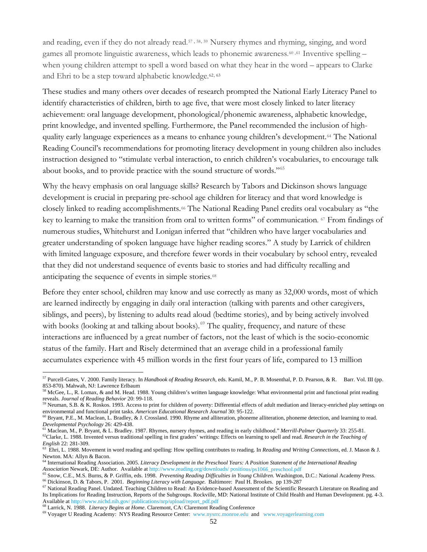and reading, even if they do not already read.[57](#page-51-0) , [58](#page-51-1), [59](#page-51-2) Nursery rhymes and rhyming, singing, and word games all promote linguistic awareness, which leads to phonemic awareness.<sup>[60](#page-51-3),[61](#page-51-4)</sup> Inventive spelling – when young children attempt to spell a word based on what they hear in the word – appears to Clarke and Ehri to be a step toward alphabetic knowledge.<sup>[62](#page-51-5), [63](#page-51-6)</sup>

These studies and many others over decades of research prompted the National Early Literacy Panel to identify characteristics of children, birth to age five, that were most closely linked to later literacy achievement: oral language development, phonological/phonemic awareness, alphabetic knowledge, print knowledge, and invented spelling. Furthermore, the Panel recommended the inclusion of highquality early language experiences as a means to enhance young children's development.[64](#page-51-7) The National Reading Council's recommendations for promoting literacy development in young children also includes instruction designed to "stimulate verbal interaction, to enrich children's vocabularies, to encourage talk about books, and to provide practice with the sound structure of words."[65](#page-51-8)

Why the heavy emphasis on oral language skills? Research by Tabors and Dickinson shows language development is crucial in preparing pre-school age children for literacy and that word knowledge is closely linked to reading accomplishments.<sup>[66](#page-51-9)</sup> The National Reading Panel credits oral vocabulary as "the key to learning to make the transition from oral to written forms" of communication. [67](#page-51-10) From findings of numerous studies, Whitehurst and Lonigan inferred that "children who have larger vocabularies and greater understanding of spoken language have higher reading scores." A study by Larrick of children with limited language exposure, and therefore fewer words in their vocabulary by school entry, revealed that they did not understand sequence of events basic to stories and had difficulty recalling and anticipating the sequence of events in simple stories.[68](#page-51-11)

Before they enter school, children may know and use correctly as many as 32,000 words, most of which are learned indirectly by engaging in daily oral interaction (talking with parents and other caregivers, siblings, and peers), by listening to adults read aloud (bedtime stories), and by being actively involved with books (looking at and talking about books).<sup> $69$ </sup> The quality, frequency, and nature of these interactions are influenced by a great number of factors, not the least of which is the socio-economic status of the family. Hart and Risely determined that an average child in a professional family accumulates experience with 45 million words in the first four years of life, compared to 13 million

<span id="page-51-0"></span> $\overline{a}$ 57 Purcell-Gates, V. 2000. Family literacy. In *Handbook of Reading Research*, eds. Kamil, M., P. B. Mosenthal, P. D. Pearson, & R. Barr. Vol. III (pp. 853-870). Mahwah, NJ: Lawrence Erlbaum

<span id="page-51-1"></span> $58$  McGee, L., R. Lomax, & and M. Head. 1988. Young children's written language knowledge: What environmental print and functional print reading reveals. *Journal of Reading Behavior* 20: 99-118.<br><sup>59</sup> Neuman, S.B. & K. Roskos. 1993. Access to print for children of poverty: Differential effects of adult mediation and literacy-enriched play settings on

<span id="page-51-2"></span>environmental and functional print tasks. American Educational Research Journal 30: 95-122.<br><sup>60</sup> Bryant, P.E., M. Maclean, L. Bradley, & J. Crossland. 1990. Rhyme and alliteration, phoneme alliteration, phoneme detection,

<span id="page-51-3"></span>*Developmental Psychology* 26: 429-438.

<span id="page-51-5"></span><span id="page-51-4"></span><sup>61</sup> Maclean, M., P. Bryant, & L. Bradley. 1987. Rhymes, nursery rhymes, and reading in early childhood." *Merrill-Palmer Quarterly* 33: 255-81. <sup>62</sup>Clarke, L. 1988. Invented versus traditional spelling in first graders' writings: Effects on learning to spell and read. *Research in the Teaching of* 

<span id="page-51-6"></span>*English* 22: 281-309. 63 Ehri, L. 1988. Movement in word reading and spelling: How spelling contributes to reading. In *Reading and Writing Connections*, ed. J. Mason & J. Newton. MA: Allyn & Bacon.

<span id="page-51-7"></span><sup>64</sup> International Reading Association. 2005. *Literacy Development in the Preschool Years: A Position Statement of the International Reading*  Association Newark, DE: Author. Available at http://www.reading.org/downloads/ positions/ps1066\_preschool.pdf<br><sup>65</sup> Snow, C.E., M.S. Burns, & P. Griffin, eds. 1998. Preventing Reading Difficulties in Young Children. Washing

<span id="page-51-9"></span><span id="page-51-8"></span><sup>66</sup> Dickinson, D. & Tabors, P. 2001. *Beginning Literacy with Language*. Baltimore: Paul H. Brookes. pp 139-287

<span id="page-51-10"></span><sup>&</sup>lt;sup>67</sup> National Reading Panel. Undated. Teaching Children to Read: An Evidence-based Assessment of the Scientific Research Literature on Reading and Its Implications for Reading Instruction, Reports of the Subgroups. Rockville, MD: National Institute of Child Health and Human Development. pg. 4-3. Available at [http://www.nichd.nih.gov/ publications/nrp/upload/report\\_pdf.pdf](http://www.nichd.nih.gov/%20publications/nrp/upload/report_pdf.pdf)

<span id="page-51-12"></span><span id="page-51-11"></span><sup>&</sup>lt;sup>68</sup> Larrick, N. 1988. *Literacy Begins at Home*. Claremont, CA: Claremont Reading Conference 69 Voyager U Reading Academy: NYS Reading Resource Center: [www.nysrrc.monroe.edu](http://www.nysrrc.monroe.edu/) and www.voyagerlearning.com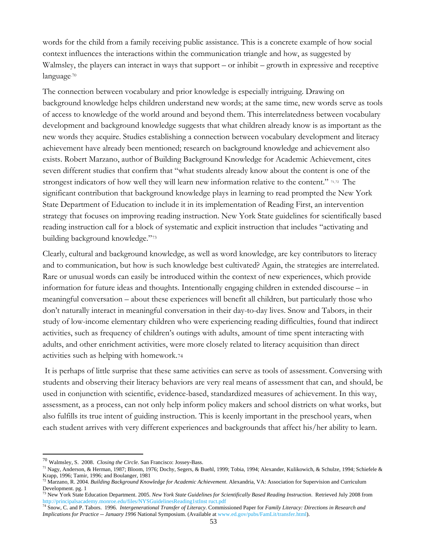words for the child from a family receiving public assistance. This is a concrete example of how social context influences the interactions within the communication triangle and how, as suggested by Walmsley, the players can interact in ways that support – or inhibit – growth in expressive and receptive language.[70](#page-52-0) 

The connection between vocabulary and prior knowledge is especially intriguing. Drawing on background knowledge helps children understand new words; at the same time, new words serve as tools of access to knowledge of the world around and beyond them. This interrelatedness between vocabulary development and background knowledge suggests that what children already know is as important as the new words they acquire. Studies establishing a connection between vocabulary development and literacy achievement have already been mentioned; research on background knowledge and achievement also exists. Robert Marzano, author of Building Background Knowledge for Academic Achievement, cites seven different studies that confirm that "what students already know about the content is one of the strongest indicators of how well they will learn new information relative to the content." [71](#page-52-1),[72](#page-52-2) The significant contribution that background knowledge plays in learning to read prompted the New York State Department of Education to include it in its implementation of Reading First, an intervention strategy that focuses on improving reading instruction. New York State guidelines for scientifically based reading instruction call for a block of systematic and explicit instruction that includes "activating and building background knowledge."[73](#page-52-3)

Clearly, cultural and background knowledge, as well as word knowledge, are key contributors to literacy and to communication, but how is such knowledge best cultivated? Again, the strategies are interrelated. Rare or unusual words can easily be introduced within the context of new experiences, which provide information for future ideas and thoughts. Intentionally engaging children in extended discourse – in meaningful conversation – about these experiences will benefit all children, but particularly those who don't naturally interact in meaningful conversation in their day-to-day lives. Snow and Tabors, in their study of low-income elementary children who were experiencing reading difficulties, found that indirect activities, such as frequency of children's outings with adults, amount of time spent interacting with adults, and other enrichment activities, were more closely related to literacy acquisition than direct activities such as helping with homework.[74](#page-52-4)

 It is perhaps of little surprise that these same activities can serve as tools of assessment. Conversing with students and observing their literacy behaviors are very real means of assessment that can, and should, be used in conjunction with scientific, evidence-based, standardized measures of achievement. In this way, assessment, as a process, can not only help inform policy makers and school districts on what works, but also fulfills its true intent of guiding instruction. This is keenly important in the preschool years, when each student arrives with very different experiences and backgrounds that affect his/her ability to learn.

 $\overline{a}$ 

<span id="page-52-0"></span><sup>70</sup> Walmsley, S. 2008. *Closing the Circle*. San Francisco: Jossey-Bass.

<span id="page-52-1"></span><sup>71</sup> Nagy, Anderson, & Herman, 1987; Bloom, 1976; Dochy, Segers, & Buehl, 1999; Tobia, 1994; Alexander, Kulikowich, & Schulze, 1994; Schiefele & Krapp, 1996; Tamir, 1996; and Boulanger, 1981

<span id="page-52-2"></span><sup>72</sup> Marzano, R. 2004. *Building Background Knowledge for Academic Achievement*. Alexandria, VA: Association for Supervision and Curriculum Development. pg. 1

<span id="page-52-3"></span><sup>73</sup> New York State Education Department. 2005. *New York State Guidelines for Scientifically Based Reading Instruction*. Retrieved July 2008 from [http://principalsacademy.monroe.edu/files/NYSGuidelinesReading1stInst ruct.pdf](http://principalsacademy.monroe.edu/files/NYSGuidelinesReading1stInst%20ruct.pdf)<br><sup>[74](http://principalsacademy.monroe.edu/files/NYSGuidelinesReading1stInst%20ruct.pdf)</sup> Snow, C. and P. Tabors. 1996. *Intergenerational Transfer of Literacy*. Commissioned Paper for Family Literacy: Directions in Research and

<span id="page-52-4"></span>*Implications for Practice -- January 1996* National Symposium. (Available at [www.ed.gov/pubs/FamLit/transfer.html\)](http://www.ed.gov/pubs/FamLit/transfer.html).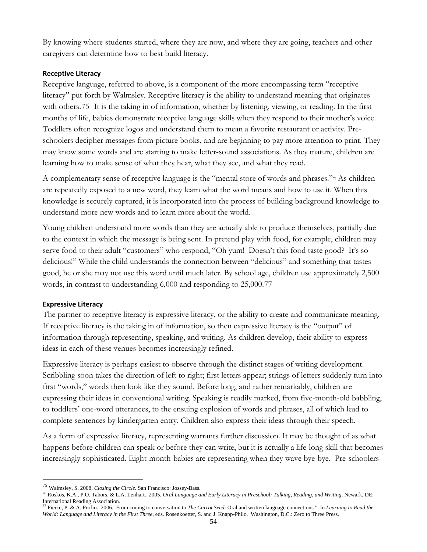By knowing where students started, where they are now, and where they are going, teachers and other caregivers can determine how to best build literacy.

## **Receptive Literacy**

Receptive language, referred to above, is a component of the more encompassing term "receptive literacy" put forth by Walmsley. Receptive literacy is the ability to understand meaning that originates with others.[75](#page-53-0) It is the taking in of information, whether by listening, viewing, or reading. In the first months of life, babies demonstrate receptive language skills when they respond to their mother's voice. Toddlers often recognize logos and understand them to mean a favorite restaurant or activity. Preschoolers decipher messages from picture books, and are beginning to pay more attention to print. They may know some words and are starting to make letter-sound associations. As they mature, children are learning how to make sense of what they hear, what they see, and what they read.

A complementary sense of receptive language is the "mental store of words and phrases."[76](#page-53-1) As children are repeatedly exposed to a new word, they learn what the word means and how to use it. When this knowledge is securely captured, it is incorporated into the process of building background knowledge to understand more new words and to learn more about the world.

Young children understand more words than they are actually able to produce themselves, partially due to the context in which the message is being sent. In pretend play with food, for example, children may serve food to their adult "customers" who respond, "Oh yum! Doesn't this food taste good? It's so delicious!" While the child understands the connection between "delicious" and something that tastes good, he or she may not use this word until much later. By school age, children use approximately 2,500 words, in contrast to understanding 6,000 and responding to 25,000.[77](#page-53-2) 

## **Expressive Literacy**

 $\overline{a}$ 

The partner to receptive literacy is expressive literacy, or the ability to create and communicate meaning. If receptive literacy is the taking in of information, so then expressive literacy is the "output" of information through representing, speaking, and writing. As children develop, their ability to express ideas in each of these venues becomes increasingly refined.

Expressive literacy is perhaps easiest to observe through the distinct stages of writing development. Scribbling soon takes the direction of left to right; first letters appear; strings of letters suddenly turn into first "words," words then look like they sound. Before long, and rather remarkably, children are expressing their ideas in conventional writing. Speaking is readily marked, from five-month-old babbling, to toddlers' one-word utterances, to the ensuing explosion of words and phrases, all of which lead to complete sentences by kindergarten entry. Children also express their ideas through their speech.

As a form of expressive literacy, representing warrants further discussion. It may be thought of as what happens before children can speak or before they can write, but it is actually a life-long skill that becomes increasingly sophisticated. Eight-month-babies are representing when they wave bye-bye. Pre-schoolers

<span id="page-53-0"></span><sup>75</sup> Walmsley, S. 2008. *Closing the Circle*. San Francisco: Jossey-Bass.

<span id="page-53-1"></span><sup>76</sup> Roskos, K.A., P.O. Tabors, & L.A. Lenhart. 2005. *Oral Language and Early Literacy in Preschool: Talking, Reading, and Writing*. Newark, DE: International Reading Association.

<span id="page-53-2"></span><sup>77</sup> Pierce, P. & A. Profio. 2006. From cooing to conversation to *The Carrot Seed*: Oral and written language connections." In *Learning to Read the World: Language and Literacy in the First Three,* eds. Rosenkoetter, S. and J. Knapp-Philo. Washington, D.C.: Zero to Three Press.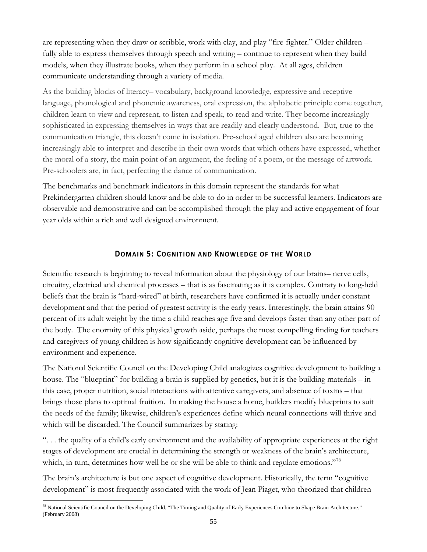are representing when they draw or scribble, work with clay, and play "fire-fighter." Older children – fully able to express themselves through speech and writing – continue to represent when they build models, when they illustrate books, when they perform in a school play. At all ages, children communicate understanding through a variety of media.

As the building blocks of literacy– vocabulary, background knowledge, expressive and receptive language, phonological and phonemic awareness, oral expression, the alphabetic principle come together, children learn to view and represent, to listen and speak, to read and write. They become increasingly sophisticated in expressing themselves in ways that are readily and clearly understood. But, true to the communication triangle, this doesn't come in isolation. Pre-school aged children also are becoming increasingly able to interpret and describe in their own words that which others have expressed, whether the moral of a story, the main point of an argument, the feeling of a poem, or the message of artwork. Pre-schoolers are, in fact, perfecting the dance of communication.

The benchmarks and benchmark indicators in this domain represent the standards for what Prekindergarten children should know and be able to do in order to be successful learners. Indicators are observable and demonstrative and can be accomplished through the play and active engagement of four year olds within a rich and well designed environment.

## **DOMAIN 5: COGNITION AND KNOWLEDGE OF THE WORLD**

<span id="page-54-0"></span>Scientific research is beginning to reveal information about the physiology of our brains– nerve cells, circuitry, electrical and chemical processes – that is as fascinating as it is complex. Contrary to long-held beliefs that the brain is "hard-wired" at birth, researchers have confirmed it is actually under constant development and that the period of greatest activity is the early years. Interestingly, the brain attains 90 percent of its adult weight by the time a child reaches age five and develops faster than any other part of the body. The enormity of this physical growth aside, perhaps the most compelling finding for teachers and caregivers of young children is how significantly cognitive development can be influenced by environment and experience.

The National Scientific Council on the Developing Child analogizes cognitive development to building a house. The "blueprint" for building a brain is supplied by genetics, but it is the building materials – in this case, proper nutrition, social interactions with attentive caregivers, and absence of toxins – that brings those plans to optimal fruition. In making the house a home, builders modify blueprints to suit the needs of the family; likewise, children's experiences define which neural connections will thrive and which will be discarded. The Council summarizes by stating:

". . . the quality of a child's early environment and the availability of appropriate experiences at the right stages of development are crucial in determining the strength or weakness of the brain's architecture, which, in turn, determines how well he or she will be able to think and regulate emotions."<sup>[78](#page-54-1)</sup>

The brain's architecture is but one aspect of cognitive development. Historically, the term "cognitive development" is most frequently associated with the work of Jean Piaget, who theorized that children

<span id="page-54-1"></span> $\overline{a}$ <sup>78</sup> National Scientific Council on the Developing Child. "The Timing and Quality of Early Experiences Combine to Shape Brain Architecture." (February 2008)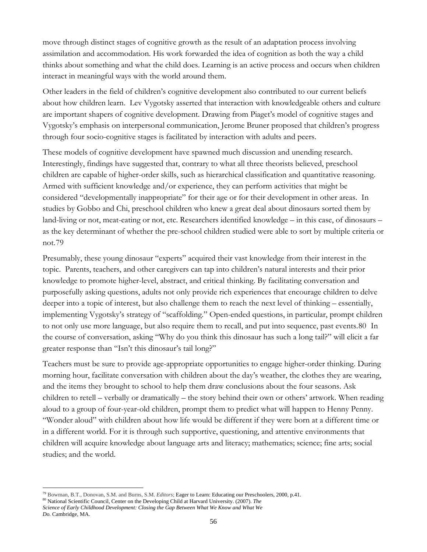move through distinct stages of cognitive growth as the result of an adaptation process involving assimilation and accommodation. His work forwarded the idea of cognition as both the way a child thinks about something and what the child does. Learning is an active process and occurs when children interact in meaningful ways with the world around them.

Other leaders in the field of children's cognitive development also contributed to our current beliefs about how children learn. Lev Vygotsky asserted that interaction with knowledgeable others and culture are important shapers of cognitive development. Drawing from Piaget's model of cognitive stages and Vygotsky's emphasis on interpersonal communication, Jerome Bruner proposed that children's progress through four socio-cognitive stages is facilitated by interaction with adults and peers.

These models of cognitive development have spawned much discussion and unending research. Interestingly, findings have suggested that, contrary to what all three theorists believed, preschool children are capable of higher-order skills, such as hierarchical classification and quantitative reasoning. Armed with sufficient knowledge and/or experience, they can perform activities that might be considered "developmentally inappropriate" for their age or for their development in other areas. In studies by Gobbo and Chi, preschool children who knew a great deal about dinosaurs sorted them by land-living or not, meat-eating or not, etc. Researchers identified knowledge – in this case, of dinosaurs – as the key determinant of whether the pre-school children studied were able to sort by multiple criteria or not.[79](#page-55-0)

Presumably, these young dinosaur "experts" acquired their vast knowledge from their interest in the topic. Parents, teachers, and other caregivers can tap into children's natural interests and their prior knowledge to promote higher-level, abstract, and critical thinking. By facilitating conversation and purposefully asking questions, adults not only provide rich experiences that encourage children to delve deeper into a topic of interest, but also challenge them to reach the next level of thinking – essentially, implementing Vygotsky's strategy of "scaffolding." Open-ended questions, in particular, prompt children to not only use more language, but also require them to recall, and put into sequence, past events.[80](#page-55-1) In the course of conversation, asking "Why do you think this dinosaur has such a long tail?" will elicit a far greater response than "Isn't this dinosaur's tail long?"

Teachers must be sure to provide age-appropriate opportunities to engage higher-order thinking. During morning hour, facilitate conversation with children about the day's weather, the clothes they are wearing, and the items they brought to school to help them draw conclusions about the four seasons. Ask children to retell – verbally or dramatically – the story behind their own or others' artwork. When reading aloud to a group of four-year-old children, prompt them to predict what will happen to Henny Penny. "Wonder aloud" with children about how life would be different if they were born at a different time or in a different world. For it is through such supportive, questioning, and attentive environments that children will acquire knowledge about language arts and literacy; mathematics; science; fine arts; social studies; and the world.

*Science of Early Childhood Development: Closing the Gap Between What We Know and What We Do.* Cambridge, MA.

 $\overline{a}$ 79 Bowman, B.T., Donovan, S.M. and Burns, S.M. *Editors*; Eager to Learn: Educating our Preschoolers, 2000, p.41.

<span id="page-55-1"></span><span id="page-55-0"></span><sup>80</sup> National Scientific Council, Center on the Developing Child at Harvard University. (2007). *The*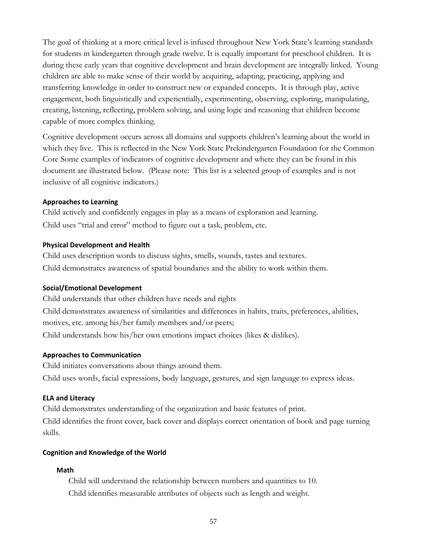The goal of thinking at a more critical level is infused throughout New York State's learning standards for students in kindergarten through grade twelve. It is equally important for preschool children. It is during these early years that cognitive development and brain development are integrally linked. Young children are able to make sense of their world by acquiring, adapting, practicing, applying and transferring knowledge in order to construct new or expanded concepts. It is through play, active engagement, both linguistically and experientially, experimenting, observing, exploring, manipulating, creating, listening, reflecting, problem solving, and using logic and reasoning that children become capable of more complex thinking.

Cognitive development occurs across all domains and supports children's learning about the world in which they live. This is reflected in the New York State Prekindergarten Foundation for the Common Core Some examples of indicators of cognitive development and where they can be found in this document are illustrated below. (Please note: This list is a selected group of examples and is not inclusive of all cognitive indicators.)

#### **Approaches to Learning**

Child actively and confidently engages in play as a means of exploration and learning. Child uses "trial and error" method to figure out a task, problem, etc.

#### **Physical Development and Health**

Child uses description words to discuss sights, smells, sounds, tastes and textures. Child demonstrates awareness of spatial boundaries and the ability to work within them.

## **Social/Emotional Development**

Child understands that other children have needs and rights Child demonstrates awareness of similarities and differences in habits, traits, preferences, abilities, motives, etc. among his/her family members and/or peers; Child understands how his/her own emotions impact choices (likes & dislikes).

#### **Approaches to Communication**

Child initiates conversations about things around them. Child uses words, facial expressions, body language, gestures, and sign language to express ideas.

#### **ELA and Literacy**

Child demonstrates understanding of the organization and basic features of print. Child identifies the front cover, back cover and displays correct orientation of book and page turning skills.

#### **Cognition and Knowledge of the World**

#### **Math**

Child will understand the relationship between numbers and quantities to 10. Child identifies measurable attributes of objects such as length and weight.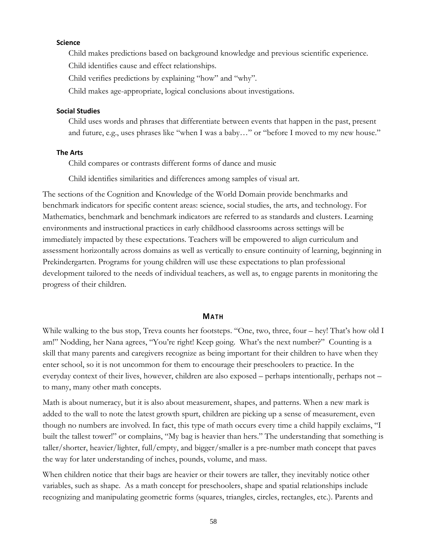#### **Science**

Child makes predictions based on background knowledge and previous scientific experience.

Child identifies cause and effect relationships.

Child verifies predictions by explaining "how" and "why".

Child makes age-appropriate, logical conclusions about investigations.

## **Social Studies**

Child uses words and phrases that differentiate between events that happen in the past, present and future, e.g., uses phrases like "when I was a baby…" or "before I moved to my new house."

#### **The Arts**

Child compares or contrasts different forms of dance and music

Child identifies similarities and differences among samples of visual art.

The sections of the Cognition and Knowledge of the World Domain provide benchmarks and benchmark indicators for specific content areas: science, social studies, the arts, and technology. For Mathematics, benchmark and benchmark indicators are referred to as standards and clusters. Learning environments and instructional practices in early childhood classrooms across settings will be immediately impacted by these expectations. Teachers will be empowered to align curriculum and assessment horizontally across domains as well as vertically to ensure continuity of learning, beginning in Prekindergarten. Programs for young children will use these expectations to plan professional development tailored to the needs of individual teachers, as well as, to engage parents in monitoring the progress of their children.

#### **MATH**

While walking to the bus stop, Treva counts her footsteps. "One, two, three, four – hey! That's how old I am!" Nodding, her Nana agrees, "You're right! Keep going. What's the next number?" Counting is a skill that many parents and caregivers recognize as being important for their children to have when they enter school, so it is not uncommon for them to encourage their preschoolers to practice. In the everyday context of their lives, however, children are also exposed – perhaps intentionally, perhaps not – to many, many other math concepts.

Math is about numeracy, but it is also about measurement, shapes, and patterns. When a new mark is added to the wall to note the latest growth spurt, children are picking up a sense of measurement, even though no numbers are involved. In fact, this type of math occurs every time a child happily exclaims, "I built the tallest tower!" or complains, "My bag is heavier than hers." The understanding that something is taller/shorter, heavier/lighter, full/empty, and bigger/smaller is a pre-number math concept that paves the way for later understanding of inches, pounds, volume, and mass.

When children notice that their bags are heavier or their towers are taller, they inevitably notice other variables, such as shape. As a math concept for preschoolers, shape and spatial relationships include recognizing and manipulating geometric forms (squares, triangles, circles, rectangles, etc.). Parents and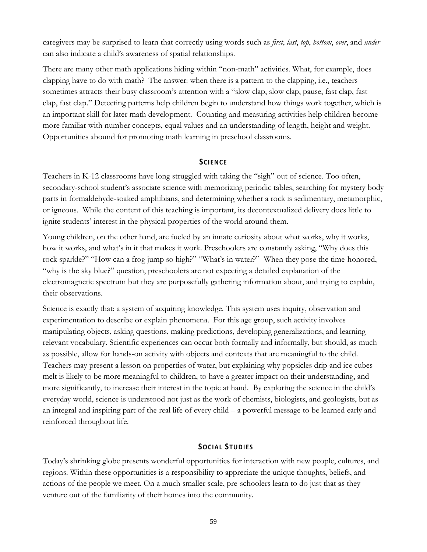caregivers may be surprised to learn that correctly using words such as *first*, *last*, *top*, *bottom*, *over*, and *under* can also indicate a child's awareness of spatial relationships.

There are many other math applications hiding within "non-math" activities. What, for example, does clapping have to do with math? The answer: when there is a pattern to the clapping, i.e., teachers sometimes attracts their busy classroom's attention with a "slow clap, slow clap, pause, fast clap, fast clap, fast clap." Detecting patterns help children begin to understand how things work together, which is an important skill for later math development. Counting and measuring activities help children become more familiar with number concepts, equal values and an understanding of length, height and weight. Opportunities abound for promoting math learning in preschool classrooms.

#### **SCIENCE**

Teachers in K-12 classrooms have long struggled with taking the "sigh" out of science. Too often, secondary-school student's associate science with memorizing periodic tables, searching for mystery body parts in formaldehyde-soaked amphibians, and determining whether a rock is sedimentary, metamorphic, or igneous. While the content of this teaching is important, its decontextualized delivery does little to ignite students' interest in the physical properties of the world around them.

Young children, on the other hand, are fueled by an innate curiosity about what works, why it works, how it works, and what's in it that makes it work. Preschoolers are constantly asking, "Why does this rock sparkle?" "How can a frog jump so high?" "What's in water?" When they pose the time-honored, "why is the sky blue?" question, preschoolers are not expecting a detailed explanation of the electromagnetic spectrum but they are purposefully gathering information about, and trying to explain, their observations.

Science is exactly that: a system of acquiring knowledge. This system uses inquiry, observation and experimentation to describe or explain phenomena. For this age group, such activity involves manipulating objects, asking questions, making predictions, developing generalizations, and learning relevant vocabulary. Scientific experiences can occur both formally and informally, but should, as much as possible, allow for hands-on activity with objects and contexts that are meaningful to the child. Teachers may present a lesson on properties of water, but explaining why popsicles drip and ice cubes melt is likely to be more meaningful to children, to have a greater impact on their understanding, and more significantly, to increase their interest in the topic at hand. By exploring the science in the child's everyday world, science is understood not just as the work of chemists, biologists, and geologists, but as an integral and inspiring part of the real life of every child – a powerful message to be learned early and reinforced throughout life.

#### **SOCIAL STUDIES**

Today's shrinking globe presents wonderful opportunities for interaction with new people, cultures, and regions. Within these opportunities is a responsibility to appreciate the unique thoughts, beliefs, and actions of the people we meet. On a much smaller scale, pre-schoolers learn to do just that as they venture out of the familiarity of their homes into the community.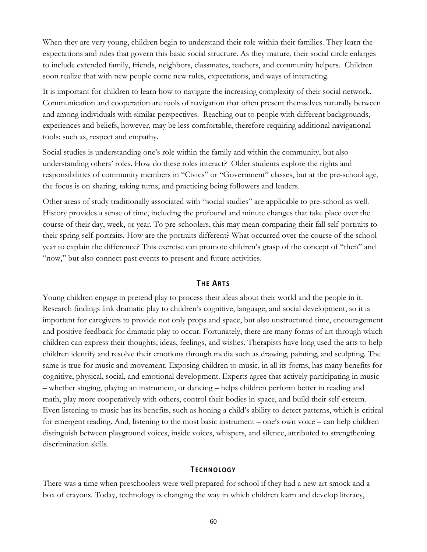When they are very young, children begin to understand their role within their families. They learn the expectations and rules that govern this basic social structure. As they mature, their social circle enlarges to include extended family, friends, neighbors, classmates, teachers, and community helpers. Children soon realize that with new people come new rules, expectations, and ways of interacting.

It is important for children to learn how to navigate the increasing complexity of their social network. Communication and cooperation are tools of navigation that often present themselves naturally between and among individuals with similar perspectives. Reaching out to people with different backgrounds, experiences and beliefs, however, may be less comfortable, therefore requiring additional navigational tools: such as, respect and empathy.

Social studies is understanding one's role within the family and within the community, but also understanding others' roles. How do these roles interact? Older students explore the rights and responsibilities of community members in "Civics" or "Government" classes, but at the pre-school age, the focus is on sharing, taking turns, and practicing being followers and leaders.

Other areas of study traditionally associated with "social studies" are applicable to pre-school as well. History provides a sense of time, including the profound and minute changes that take place over the course of their day, week, or year. To pre-schoolers, this may mean comparing their fall self-portraits to their spring self-portraits. How are the portraits different? What occurred over the course of the school year to explain the difference? This exercise can promote children's grasp of the concept of "then" and "now," but also connect past events to present and future activities.

#### **THE ARTS**

Young children engage in pretend play to process their ideas about their world and the people in it. Research findings link dramatic play to children's cognitive, language, and social development, so it is important for caregivers to provide not only props and space, but also unstructured time, encouragement and positive feedback for dramatic play to occur. Fortunately, there are many forms of art through which children can express their thoughts, ideas, feelings, and wishes. Therapists have long used the arts to help children identify and resolve their emotions through media such as drawing, painting, and sculpting. The same is true for music and movement. Exposing children to music, in all its forms, has many benefits for cognitive, physical, social, and emotional development. Experts agree that actively participating in music – whether singing, playing an instrument, or dancing – helps children perform better in reading and math, play more cooperatively with others, control their bodies in space, and build their self-esteem. Even listening to music has its benefits, such as honing a child's ability to detect patterns, which is critical for emergent reading. And, listening to the most basic instrument – one's own voice – can help children distinguish between playground voices, inside voices, whispers, and silence, attributed to strengthening discrimination skills.

#### **TECHNOLOGY**

There was a time when preschoolers were well prepared for school if they had a new art smock and a box of crayons. Today, technology is changing the way in which children learn and develop literacy,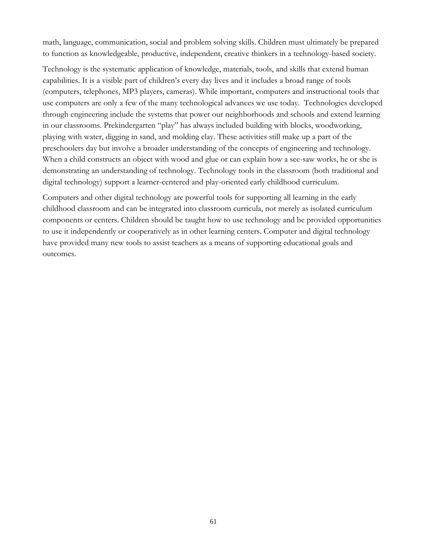math, language, communication, social and problem solving skills. Children must ultimately be prepared to function as knowledgeable, productive, independent, creative thinkers in a technology-based society.

Technology is the systematic application of knowledge, materials, tools, and skills that extend human capabilities. It is a visible part of children's every day lives and it includes a broad range of tools (computers, telephones, MP3 players, cameras). While important, computers and instructional tools that use computers are only a few of the many technological advances we use today. Technologies developed through engineering include the systems that power our neighborhoods and schools and extend learning in our classrooms. Prekindergarten "play" has always included building with blocks, woodworking, playing with water, digging in sand, and molding clay. These activities still make up a part of the preschoolers day but involve a broader understanding of the concepts of engineering and technology. When a child constructs an object with wood and glue or can explain how a see-saw works, he or she is demonstrating an understanding of technology. Technology tools in the classroom (both traditional and digital technology) support a learner-centered and play-oriented early childhood curriculum.

Computers and other digital technology are powerful tools for supporting all learning in the early childhood classroom and can be integrated into classroom curricula, not merely as isolated curriculum components or centers. Children should be taught how to use technology and be provided opportunities to use it independently or cooperatively as in other learning centers. Computer and digital technology have provided many new tools to assist teachers as a means of supporting educational goals and outcomes.